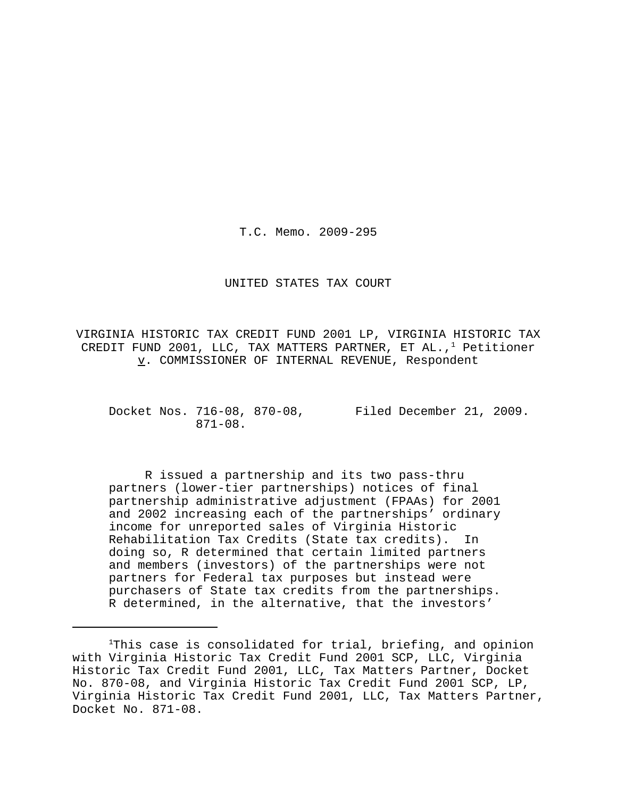T.C. Memo. 2009-295

#### UNITED STATES TAX COURT

VIRGINIA HISTORIC TAX CREDIT FUND 2001 LP, VIRGINIA HISTORIC TAX CREDIT FUND 2001, LLC, TAX MATTERS PARTNER, ET AL., $1$  Petitioner v. COMMISSIONER OF INTERNAL REVENUE, Respondent

Docket Nos. 716-08, 870-08, Filed December 21, 2009. 871-08.

R issued a partnership and its two pass-thru partners (lower-tier partnerships) notices of final partnership administrative adjustment (FPAAs) for 2001 and 2002 increasing each of the partnerships' ordinary income for unreported sales of Virginia Historic Rehabilitation Tax Credits (State tax credits). In doing so, R determined that certain limited partners and members (investors) of the partnerships were not partners for Federal tax purposes but instead were purchasers of State tax credits from the partnerships. R determined, in the alternative, that the investors'

<sup>&</sup>lt;sup>1</sup>This case is consolidated for trial, briefing, and opinion with Virginia Historic Tax Credit Fund 2001 SCP, LLC, Virginia Historic Tax Credit Fund 2001, LLC, Tax Matters Partner, Docket No. 870-08, and Virginia Historic Tax Credit Fund 2001 SCP, LP, Virginia Historic Tax Credit Fund 2001, LLC, Tax Matters Partner, Docket No. 871-08.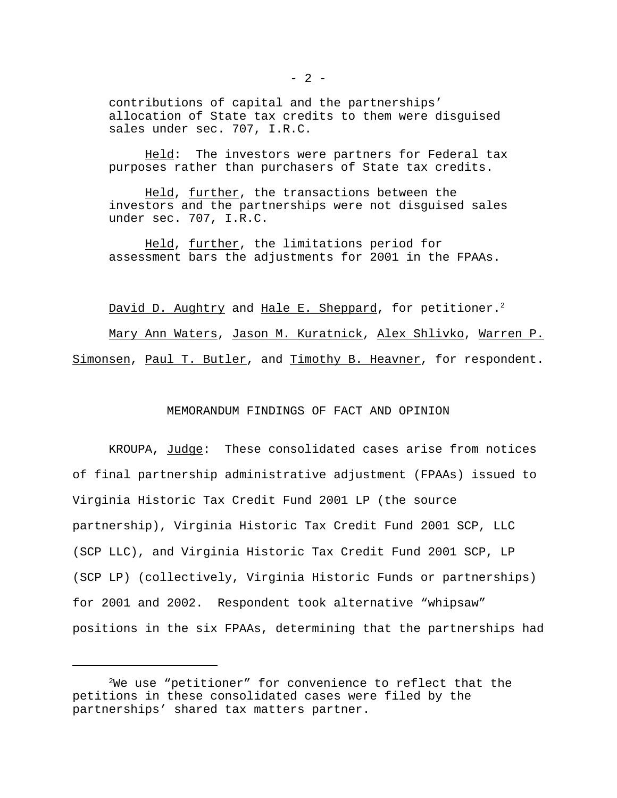contributions of capital and the partnerships' allocation of State tax credits to them were disguised sales under sec. 707, I.R.C.

Held: The investors were partners for Federal tax purposes rather than purchasers of State tax credits.

Held, further, the transactions between the investors and the partnerships were not disguised sales under sec. 707, I.R.C.

Held, further, the limitations period for assessment bars the adjustments for 2001 in the FPAAs.

David D. Aughtry and Hale E. Sheppard, for petitioner.<sup>2</sup> Mary Ann Waters, Jason M. Kuratnick, Alex Shlivko, Warren P. Simonsen, Paul T. Butler, and Timothy B. Heavner, for respondent.

# MEMORANDUM FINDINGS OF FACT AND OPINION

KROUPA, Judge: These consolidated cases arise from notices of final partnership administrative adjustment (FPAAs) issued to Virginia Historic Tax Credit Fund 2001 LP (the source partnership), Virginia Historic Tax Credit Fund 2001 SCP, LLC (SCP LLC), and Virginia Historic Tax Credit Fund 2001 SCP, LP (SCP LP) (collectively, Virginia Historic Funds or partnerships) for 2001 and 2002. Respondent took alternative "whipsaw" positions in the six FPAAs, determining that the partnerships had

 $2$ We use "petitioner" for convenience to reflect that the petitions in these consolidated cases were filed by the partnerships' shared tax matters partner.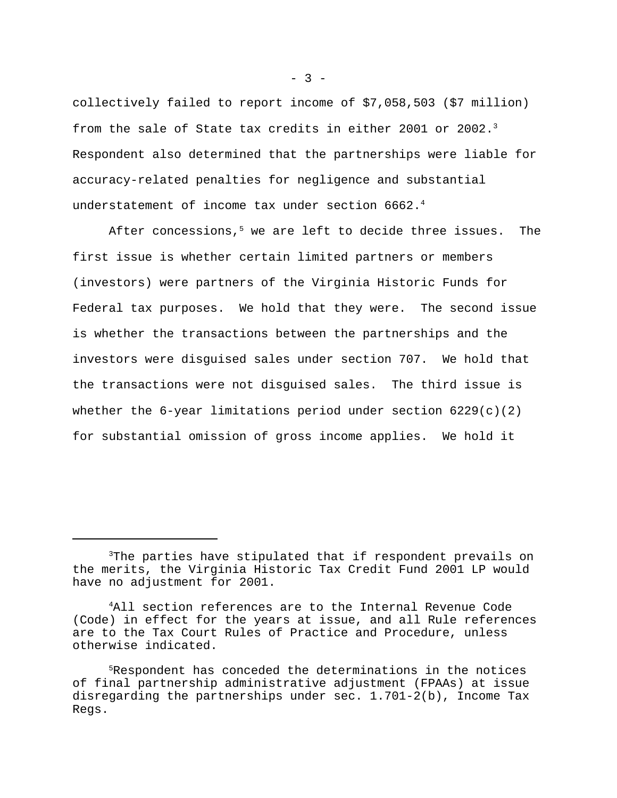collectively failed to report income of \$7,058,503 (\$7 million) from the sale of State tax credits in either 2001 or 2002.<sup>3</sup> Respondent also determined that the partnerships were liable for accuracy-related penalties for negligence and substantial understatement of income tax under section 6662.<sup>4</sup>

After concessions,<sup>5</sup> we are left to decide three issues. The first issue is whether certain limited partners or members (investors) were partners of the Virginia Historic Funds for Federal tax purposes. We hold that they were. The second issue is whether the transactions between the partnerships and the investors were disguised sales under section 707. We hold that the transactions were not disguised sales. The third issue is whether the 6-year limitations period under section  $6229(c)(2)$ for substantial omission of gross income applies. We hold it

<sup>&</sup>lt;sup>3</sup>The parties have stipulated that if respondent prevails on the merits, the Virginia Historic Tax Credit Fund 2001 LP would have no adjustment for 2001.

<sup>4</sup>All section references are to the Internal Revenue Code (Code) in effect for the years at issue, and all Rule references are to the Tax Court Rules of Practice and Procedure, unless otherwise indicated.

<sup>5</sup>Respondent has conceded the determinations in the notices of final partnership administrative adjustment (FPAAs) at issue disregarding the partnerships under sec.  $1.701-2(b)$ , Income Tax Regs.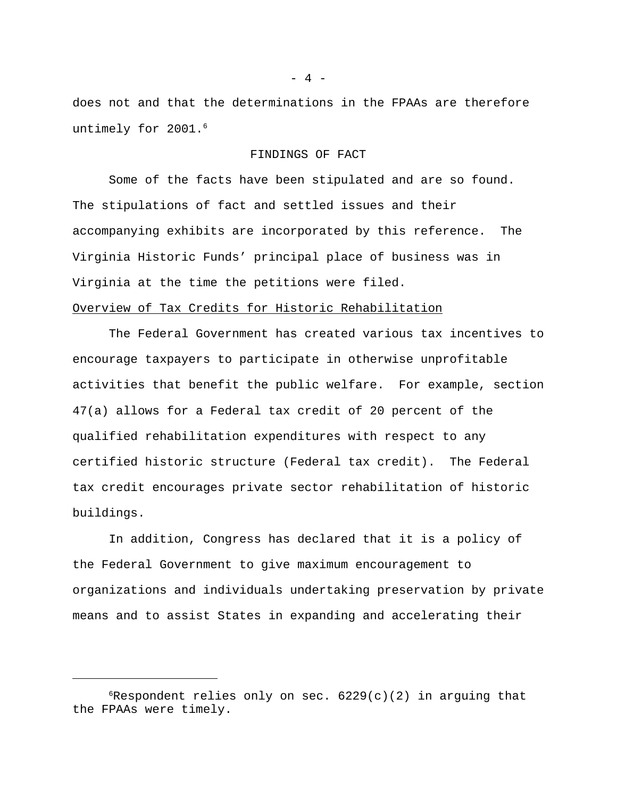does not and that the determinations in the FPAAs are therefore untimely for 2001.<sup>6</sup>

#### FINDINGS OF FACT

Some of the facts have been stipulated and are so found. The stipulations of fact and settled issues and their accompanying exhibits are incorporated by this reference. The Virginia Historic Funds' principal place of business was in Virginia at the time the petitions were filed.

# Overview of Tax Credits for Historic Rehabilitation

The Federal Government has created various tax incentives to encourage taxpayers to participate in otherwise unprofitable activities that benefit the public welfare. For example, section 47(a) allows for a Federal tax credit of 20 percent of the qualified rehabilitation expenditures with respect to any certified historic structure (Federal tax credit). The Federal tax credit encourages private sector rehabilitation of historic buildings.

In addition, Congress has declared that it is a policy of the Federal Government to give maximum encouragement to organizations and individuals undertaking preservation by private means and to assist States in expanding and accelerating their

- 4 -

 $6R$ espondent relies only on sec.  $6229(c)(2)$  in arguing that the FPAAs were timely.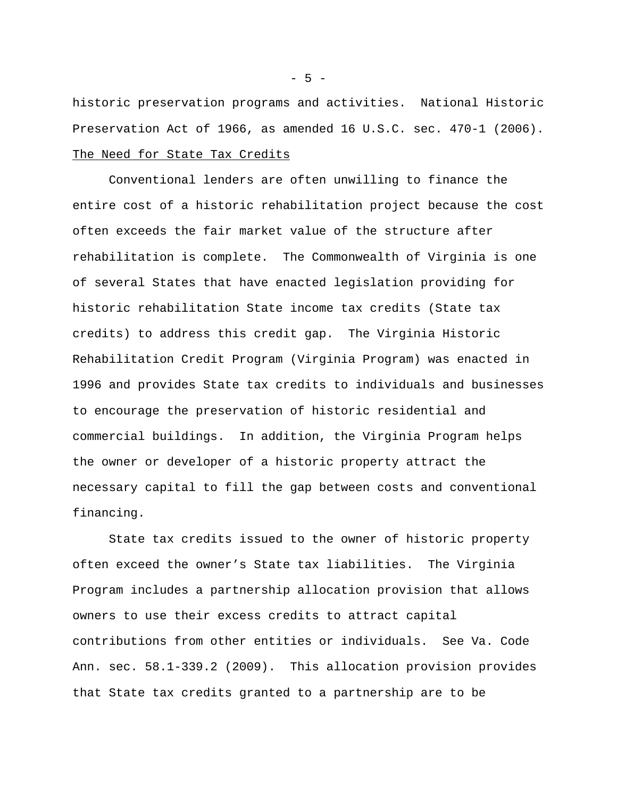historic preservation programs and activities. National Historic Preservation Act of 1966, as amended 16 U.S.C. sec. 470-1 (2006). The Need for State Tax Credits

Conventional lenders are often unwilling to finance the entire cost of a historic rehabilitation project because the cost often exceeds the fair market value of the structure after rehabilitation is complete. The Commonwealth of Virginia is one of several States that have enacted legislation providing for historic rehabilitation State income tax credits (State tax credits) to address this credit gap. The Virginia Historic Rehabilitation Credit Program (Virginia Program) was enacted in 1996 and provides State tax credits to individuals and businesses to encourage the preservation of historic residential and commercial buildings. In addition, the Virginia Program helps the owner or developer of a historic property attract the necessary capital to fill the gap between costs and conventional financing.

State tax credits issued to the owner of historic property often exceed the owner's State tax liabilities. The Virginia Program includes a partnership allocation provision that allows owners to use their excess credits to attract capital contributions from other entities or individuals. See Va. Code Ann. sec. 58.1-339.2 (2009). This allocation provision provides that State tax credits granted to a partnership are to be

 $-5 -$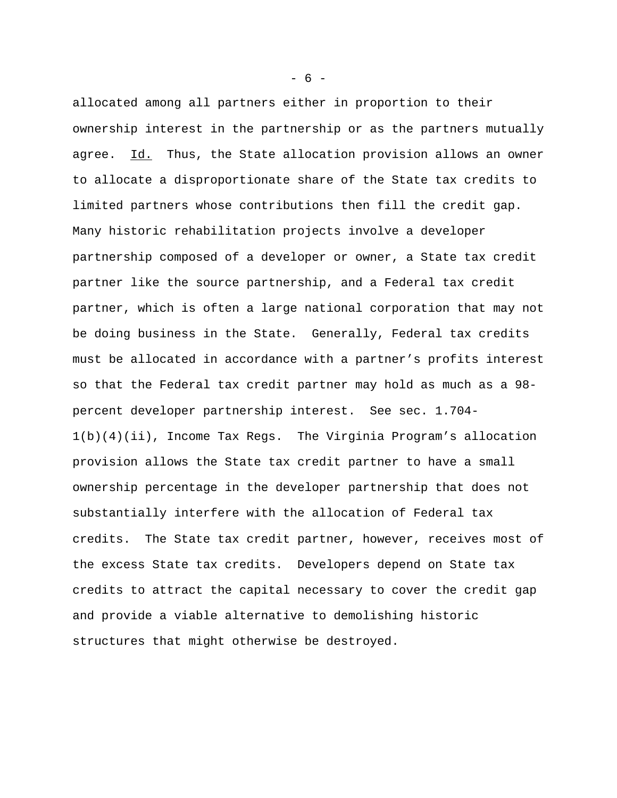allocated among all partners either in proportion to their ownership interest in the partnership or as the partners mutually agree. Id. Thus, the State allocation provision allows an owner to allocate a disproportionate share of the State tax credits to limited partners whose contributions then fill the credit gap. Many historic rehabilitation projects involve a developer partnership composed of a developer or owner, a State tax credit partner like the source partnership, and a Federal tax credit partner, which is often a large national corporation that may not be doing business in the State. Generally, Federal tax credits must be allocated in accordance with a partner's profits interest so that the Federal tax credit partner may hold as much as a 98 percent developer partnership interest. See sec. 1.704- 1(b)(4)(ii), Income Tax Regs. The Virginia Program's allocation provision allows the State tax credit partner to have a small ownership percentage in the developer partnership that does not substantially interfere with the allocation of Federal tax credits. The State tax credit partner, however, receives most of the excess State tax credits. Developers depend on State tax credits to attract the capital necessary to cover the credit gap and provide a viable alternative to demolishing historic structures that might otherwise be destroyed.

 $- 6 -$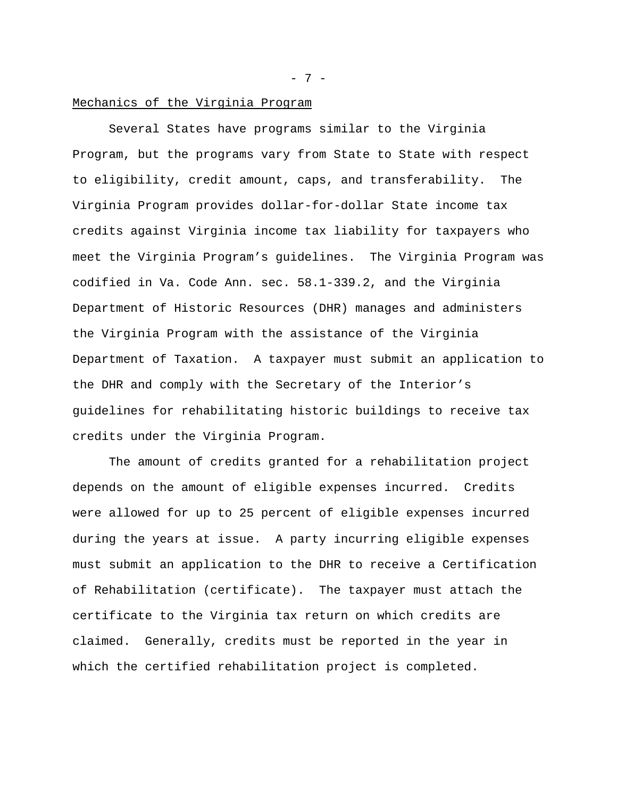### Mechanics of the Virginia Program

Several States have programs similar to the Virginia Program, but the programs vary from State to State with respect to eligibility, credit amount, caps, and transferability. The Virginia Program provides dollar-for-dollar State income tax credits against Virginia income tax liability for taxpayers who meet the Virginia Program's guidelines. The Virginia Program was codified in Va. Code Ann. sec. 58.1-339.2, and the Virginia Department of Historic Resources (DHR) manages and administers the Virginia Program with the assistance of the Virginia Department of Taxation. A taxpayer must submit an application to the DHR and comply with the Secretary of the Interior's guidelines for rehabilitating historic buildings to receive tax credits under the Virginia Program.

The amount of credits granted for a rehabilitation project depends on the amount of eligible expenses incurred. Credits were allowed for up to 25 percent of eligible expenses incurred during the years at issue. A party incurring eligible expenses must submit an application to the DHR to receive a Certification of Rehabilitation (certificate). The taxpayer must attach the certificate to the Virginia tax return on which credits are claimed. Generally, credits must be reported in the year in which the certified rehabilitation project is completed.

- 7 -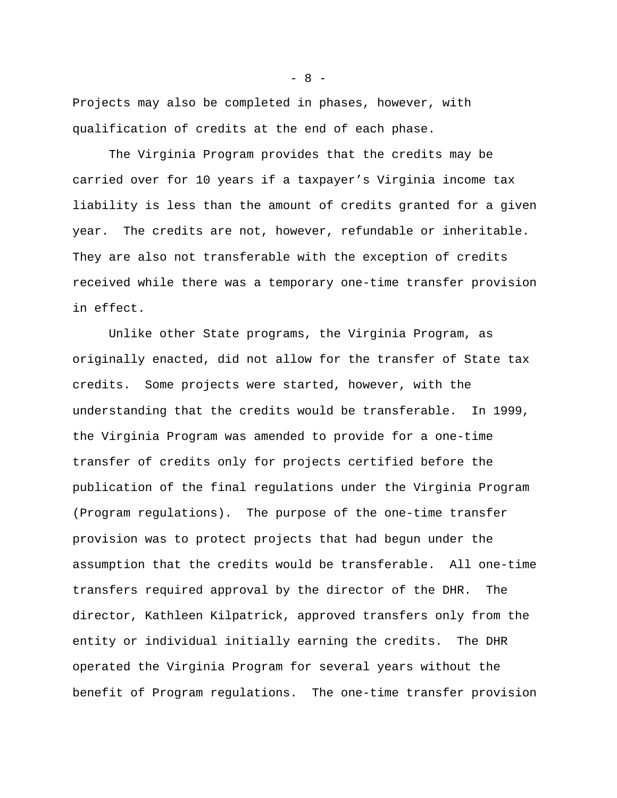Projects may also be completed in phases, however, with qualification of credits at the end of each phase.

The Virginia Program provides that the credits may be carried over for 10 years if a taxpayer's Virginia income tax liability is less than the amount of credits granted for a given year. The credits are not, however, refundable or inheritable. They are also not transferable with the exception of credits received while there was a temporary one-time transfer provision in effect.

Unlike other State programs, the Virginia Program, as originally enacted, did not allow for the transfer of State tax credits. Some projects were started, however, with the understanding that the credits would be transferable. In 1999, the Virginia Program was amended to provide for a one-time transfer of credits only for projects certified before the publication of the final regulations under the Virginia Program (Program regulations). The purpose of the one-time transfer provision was to protect projects that had begun under the assumption that the credits would be transferable. All one-time transfers required approval by the director of the DHR. The director, Kathleen Kilpatrick, approved transfers only from the entity or individual initially earning the credits. The DHR operated the Virginia Program for several years without the benefit of Program regulations. The one-time transfer provision

 $- 8 -$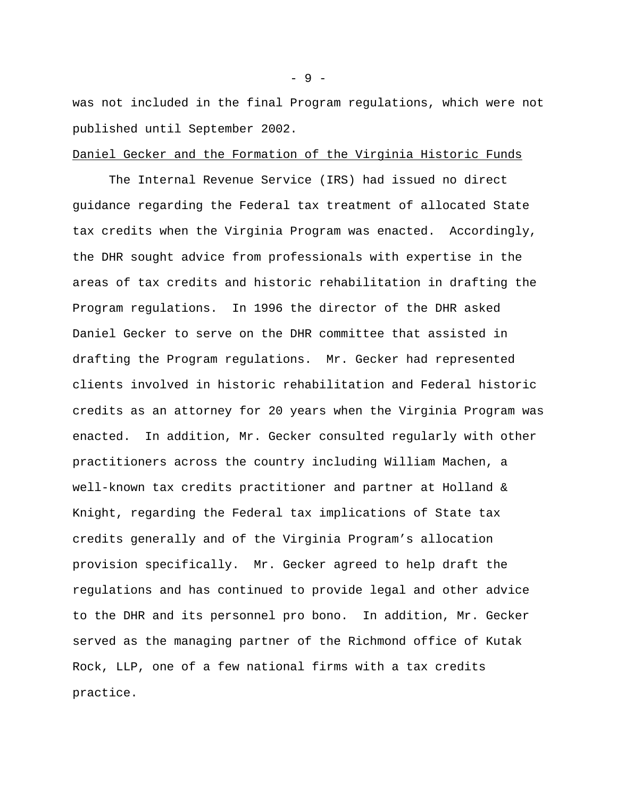was not included in the final Program regulations, which were not published until September 2002.

#### Daniel Gecker and the Formation of the Virginia Historic Funds

The Internal Revenue Service (IRS) had issued no direct guidance regarding the Federal tax treatment of allocated State tax credits when the Virginia Program was enacted. Accordingly, the DHR sought advice from professionals with expertise in the areas of tax credits and historic rehabilitation in drafting the Program regulations. In 1996 the director of the DHR asked Daniel Gecker to serve on the DHR committee that assisted in drafting the Program regulations. Mr. Gecker had represented clients involved in historic rehabilitation and Federal historic credits as an attorney for 20 years when the Virginia Program was enacted. In addition, Mr. Gecker consulted regularly with other practitioners across the country including William Machen, a well-known tax credits practitioner and partner at Holland & Knight, regarding the Federal tax implications of State tax credits generally and of the Virginia Program's allocation provision specifically. Mr. Gecker agreed to help draft the regulations and has continued to provide legal and other advice to the DHR and its personnel pro bono. In addition, Mr. Gecker served as the managing partner of the Richmond office of Kutak Rock, LLP, one of a few national firms with a tax credits practice.

- 9 -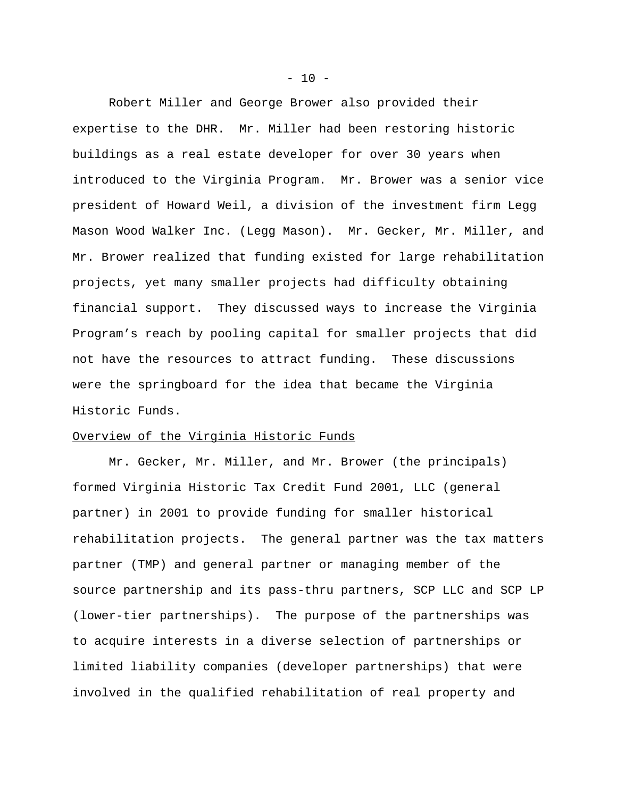Robert Miller and George Brower also provided their expertise to the DHR. Mr. Miller had been restoring historic buildings as a real estate developer for over 30 years when introduced to the Virginia Program. Mr. Brower was a senior vice president of Howard Weil, a division of the investment firm Legg Mason Wood Walker Inc. (Legg Mason). Mr. Gecker, Mr. Miller, and Mr. Brower realized that funding existed for large rehabilitation projects, yet many smaller projects had difficulty obtaining financial support. They discussed ways to increase the Virginia Program's reach by pooling capital for smaller projects that did not have the resources to attract funding. These discussions were the springboard for the idea that became the Virginia Historic Funds.

### Overview of the Virginia Historic Funds

Mr. Gecker, Mr. Miller, and Mr. Brower (the principals) formed Virginia Historic Tax Credit Fund 2001, LLC (general partner) in 2001 to provide funding for smaller historical rehabilitation projects. The general partner was the tax matters partner (TMP) and general partner or managing member of the source partnership and its pass-thru partners, SCP LLC and SCP LP (lower-tier partnerships). The purpose of the partnerships was to acquire interests in a diverse selection of partnerships or limited liability companies (developer partnerships) that were involved in the qualified rehabilitation of real property and

 $- 10 -$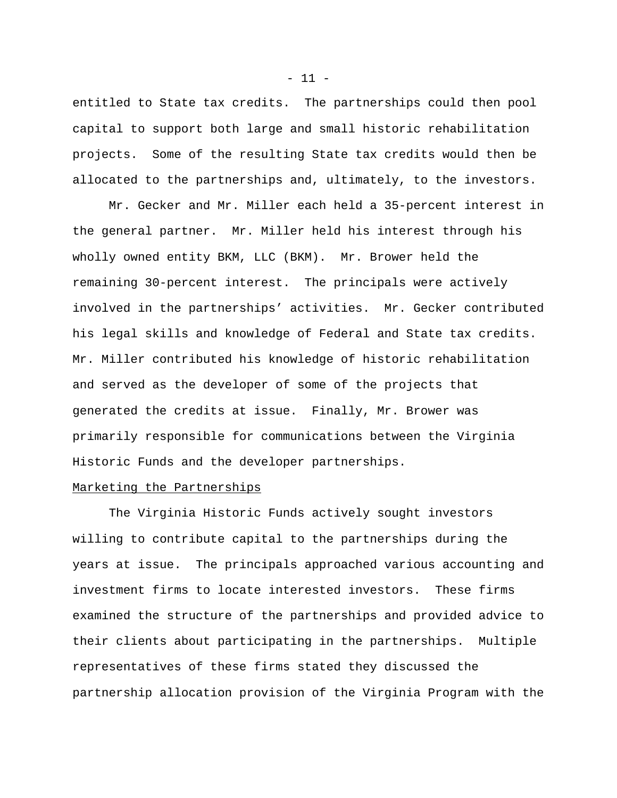entitled to State tax credits. The partnerships could then pool capital to support both large and small historic rehabilitation projects. Some of the resulting State tax credits would then be allocated to the partnerships and, ultimately, to the investors.

Mr. Gecker and Mr. Miller each held a 35-percent interest in the general partner. Mr. Miller held his interest through his wholly owned entity BKM, LLC (BKM). Mr. Brower held the remaining 30-percent interest. The principals were actively involved in the partnerships' activities. Mr. Gecker contributed his legal skills and knowledge of Federal and State tax credits. Mr. Miller contributed his knowledge of historic rehabilitation and served as the developer of some of the projects that generated the credits at issue. Finally, Mr. Brower was primarily responsible for communications between the Virginia Historic Funds and the developer partnerships.

# Marketing the Partnerships

The Virginia Historic Funds actively sought investors willing to contribute capital to the partnerships during the years at issue. The principals approached various accounting and investment firms to locate interested investors. These firms examined the structure of the partnerships and provided advice to their clients about participating in the partnerships. Multiple representatives of these firms stated they discussed the partnership allocation provision of the Virginia Program with the

 $- 11 -$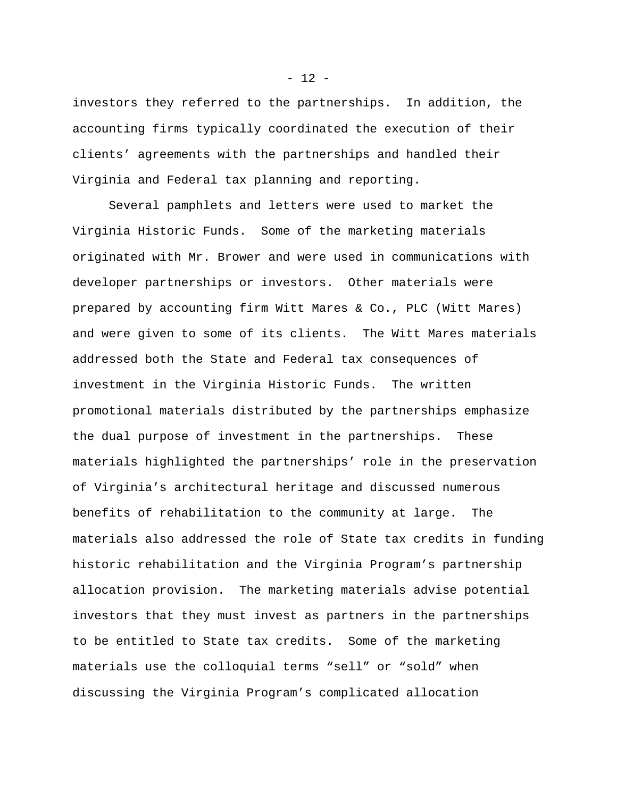investors they referred to the partnerships. In addition, the accounting firms typically coordinated the execution of their clients' agreements with the partnerships and handled their Virginia and Federal tax planning and reporting.

Several pamphlets and letters were used to market the Virginia Historic Funds. Some of the marketing materials originated with Mr. Brower and were used in communications with developer partnerships or investors. Other materials were prepared by accounting firm Witt Mares & Co., PLC (Witt Mares) and were given to some of its clients. The Witt Mares materials addressed both the State and Federal tax consequences of investment in the Virginia Historic Funds. The written promotional materials distributed by the partnerships emphasize the dual purpose of investment in the partnerships. These materials highlighted the partnerships' role in the preservation of Virginia's architectural heritage and discussed numerous benefits of rehabilitation to the community at large. The materials also addressed the role of State tax credits in funding historic rehabilitation and the Virginia Program's partnership allocation provision. The marketing materials advise potential investors that they must invest as partners in the partnerships to be entitled to State tax credits. Some of the marketing materials use the colloquial terms "sell" or "sold" when discussing the Virginia Program's complicated allocation

 $- 12 -$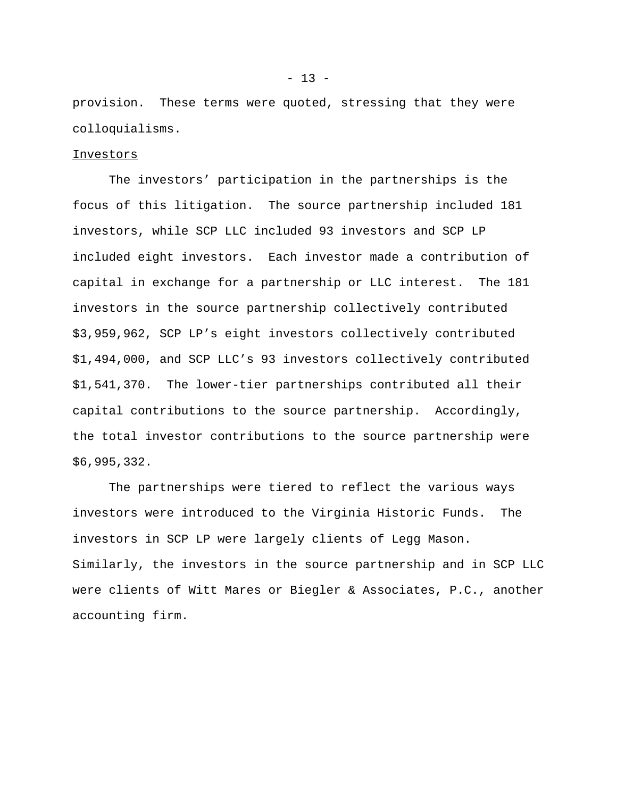provision. These terms were quoted, stressing that they were colloquialisms.

### Investors

The investors' participation in the partnerships is the focus of this litigation. The source partnership included 181 investors, while SCP LLC included 93 investors and SCP LP included eight investors. Each investor made a contribution of capital in exchange for a partnership or LLC interest. The 181 investors in the source partnership collectively contributed \$3,959,962, SCP LP's eight investors collectively contributed \$1,494,000, and SCP LLC's 93 investors collectively contributed \$1,541,370. The lower-tier partnerships contributed all their capital contributions to the source partnership. Accordingly, the total investor contributions to the source partnership were \$6,995,332.

The partnerships were tiered to reflect the various ways investors were introduced to the Virginia Historic Funds. The investors in SCP LP were largely clients of Legg Mason. Similarly, the investors in the source partnership and in SCP LLC were clients of Witt Mares or Biegler & Associates, P.C., another accounting firm.

 $- 13 -$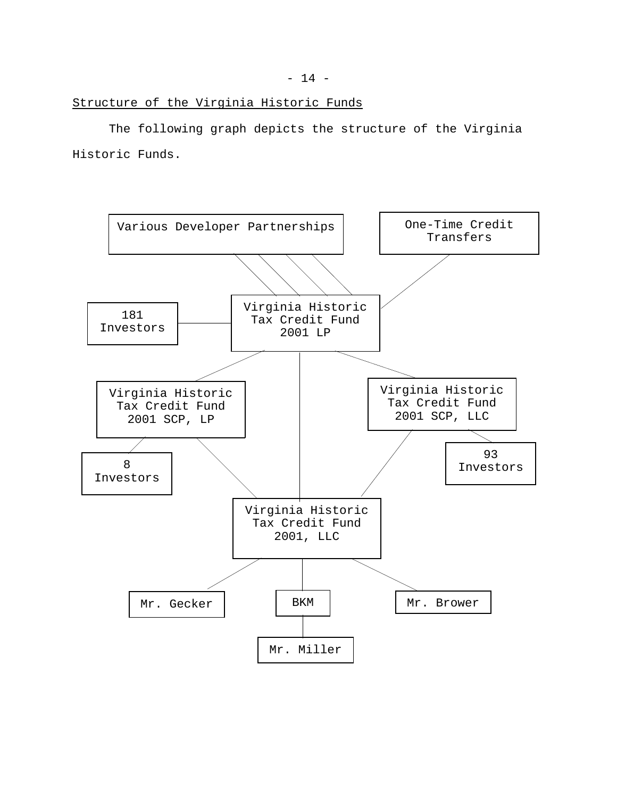The following graph depicts the structure of the Virginia Historic Funds.

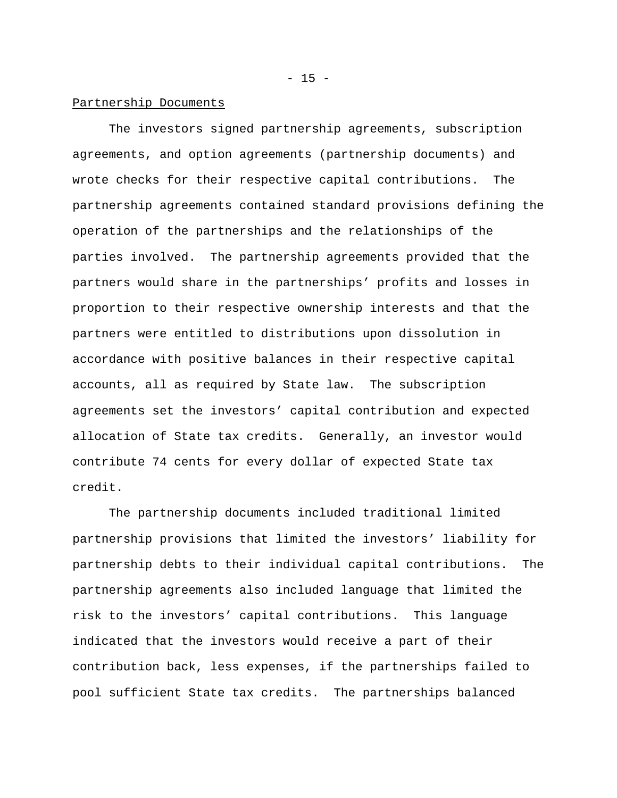### Partnership Documents

The investors signed partnership agreements, subscription agreements, and option agreements (partnership documents) and wrote checks for their respective capital contributions. The partnership agreements contained standard provisions defining the operation of the partnerships and the relationships of the parties involved. The partnership agreements provided that the partners would share in the partnerships' profits and losses in proportion to their respective ownership interests and that the partners were entitled to distributions upon dissolution in accordance with positive balances in their respective capital accounts, all as required by State law. The subscription agreements set the investors' capital contribution and expected allocation of State tax credits. Generally, an investor would contribute 74 cents for every dollar of expected State tax credit.

The partnership documents included traditional limited partnership provisions that limited the investors' liability for partnership debts to their individual capital contributions. The partnership agreements also included language that limited the risk to the investors' capital contributions. This language indicated that the investors would receive a part of their contribution back, less expenses, if the partnerships failed to pool sufficient State tax credits. The partnerships balanced

 $- 15 -$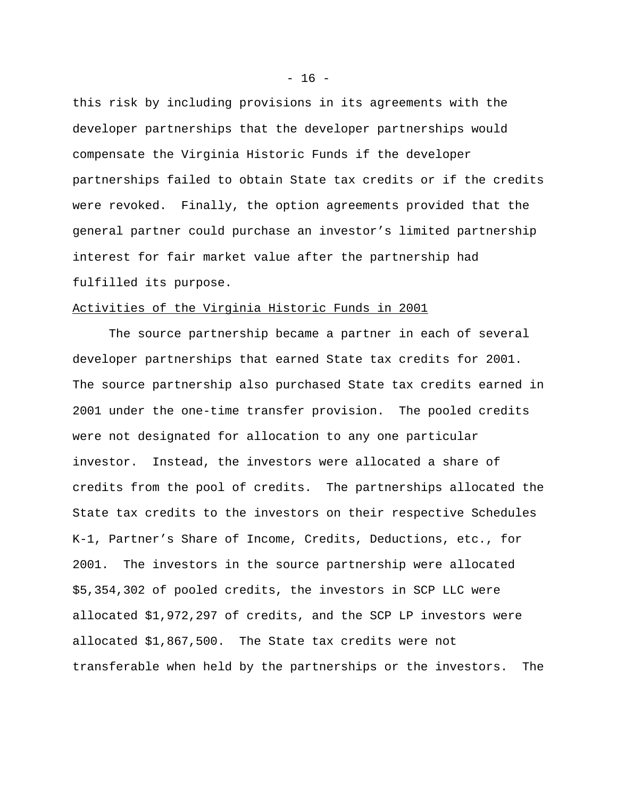this risk by including provisions in its agreements with the developer partnerships that the developer partnerships would compensate the Virginia Historic Funds if the developer partnerships failed to obtain State tax credits or if the credits were revoked. Finally, the option agreements provided that the general partner could purchase an investor's limited partnership interest for fair market value after the partnership had fulfilled its purpose.

#### Activities of the Virginia Historic Funds in 2001

The source partnership became a partner in each of several developer partnerships that earned State tax credits for 2001. The source partnership also purchased State tax credits earned in 2001 under the one-time transfer provision. The pooled credits were not designated for allocation to any one particular investor. Instead, the investors were allocated a share of credits from the pool of credits. The partnerships allocated the State tax credits to the investors on their respective Schedules K-1, Partner's Share of Income, Credits, Deductions, etc., for 2001. The investors in the source partnership were allocated \$5,354,302 of pooled credits, the investors in SCP LLC were allocated \$1,972,297 of credits, and the SCP LP investors were allocated \$1,867,500. The State tax credits were not transferable when held by the partnerships or the investors. The

 $- 16 -$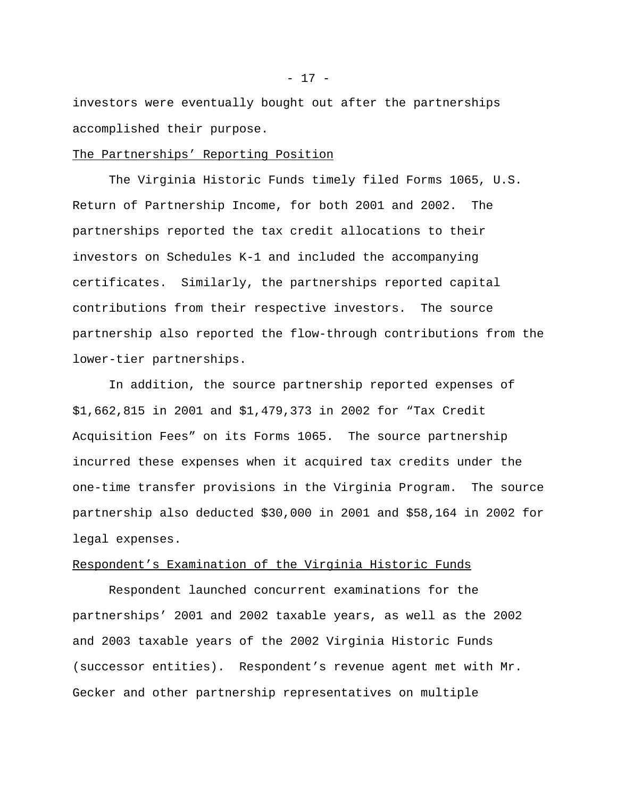investors were eventually bought out after the partnerships accomplished their purpose.

#### The Partnerships' Reporting Position

The Virginia Historic Funds timely filed Forms 1065, U.S. Return of Partnership Income, for both 2001 and 2002. The partnerships reported the tax credit allocations to their investors on Schedules K-1 and included the accompanying certificates. Similarly, the partnerships reported capital contributions from their respective investors. The source partnership also reported the flow-through contributions from the lower-tier partnerships.

In addition, the source partnership reported expenses of \$1,662,815 in 2001 and \$1,479,373 in 2002 for "Tax Credit Acquisition Fees" on its Forms 1065. The source partnership incurred these expenses when it acquired tax credits under the one-time transfer provisions in the Virginia Program. The source partnership also deducted \$30,000 in 2001 and \$58,164 in 2002 for legal expenses.

### Respondent's Examination of the Virginia Historic Funds

Respondent launched concurrent examinations for the partnerships' 2001 and 2002 taxable years, as well as the 2002 and 2003 taxable years of the 2002 Virginia Historic Funds (successor entities). Respondent's revenue agent met with Mr. Gecker and other partnership representatives on multiple

- 17 -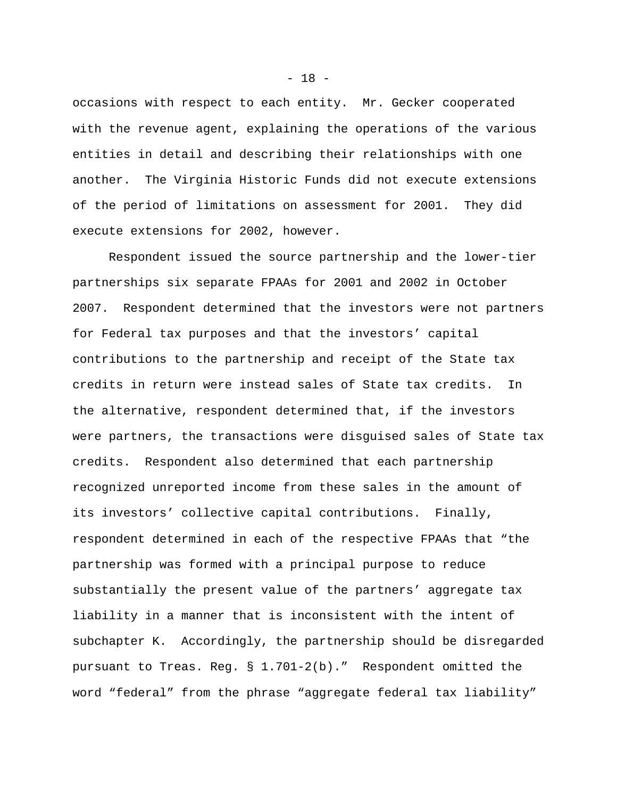occasions with respect to each entity. Mr. Gecker cooperated with the revenue agent, explaining the operations of the various entities in detail and describing their relationships with one another. The Virginia Historic Funds did not execute extensions of the period of limitations on assessment for 2001. They did execute extensions for 2002, however.

Respondent issued the source partnership and the lower-tier partnerships six separate FPAAs for 2001 and 2002 in October 2007. Respondent determined that the investors were not partners for Federal tax purposes and that the investors' capital contributions to the partnership and receipt of the State tax credits in return were instead sales of State tax credits. In the alternative, respondent determined that, if the investors were partners, the transactions were disguised sales of State tax credits. Respondent also determined that each partnership recognized unreported income from these sales in the amount of its investors' collective capital contributions. Finally, respondent determined in each of the respective FPAAs that "the partnership was formed with a principal purpose to reduce substantially the present value of the partners' aggregate tax liability in a manner that is inconsistent with the intent of subchapter K. Accordingly, the partnership should be disregarded pursuant to Treas. Reg. § 1.701-2(b)." Respondent omitted the word "federal" from the phrase "aggregate federal tax liability"

 $- 18 -$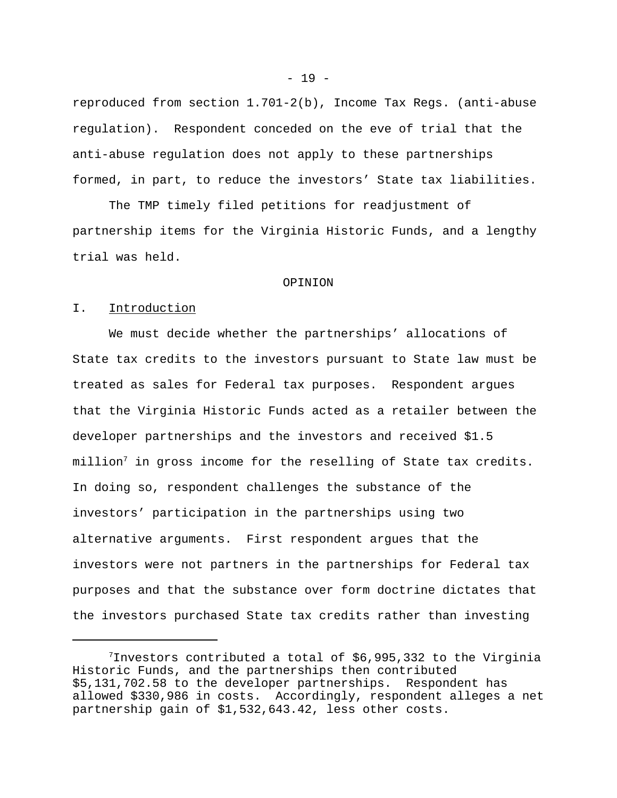reproduced from section 1.701-2(b), Income Tax Regs. (anti-abuse regulation). Respondent conceded on the eve of trial that the anti-abuse regulation does not apply to these partnerships formed, in part, to reduce the investors' State tax liabilities.

The TMP timely filed petitions for readjustment of partnership items for the Virginia Historic Funds, and a lengthy trial was held.

#### OPINION

#### I. Introduction

We must decide whether the partnerships' allocations of State tax credits to the investors pursuant to State law must be treated as sales for Federal tax purposes. Respondent argues that the Virginia Historic Funds acted as a retailer between the developer partnerships and the investors and received \$1.5  $million<sup>7</sup>$  in gross income for the reselling of State tax credits. In doing so, respondent challenges the substance of the investors' participation in the partnerships using two alternative arguments. First respondent argues that the investors were not partners in the partnerships for Federal tax purposes and that the substance over form doctrine dictates that the investors purchased State tax credits rather than investing

 $- 19 -$ 

 $7$ Investors contributed a total of \$6,995,332 to the Virginia Historic Funds, and the partnerships then contributed \$5,131,702.58 to the developer partnerships. Respondent has allowed \$330,986 in costs. Accordingly, respondent alleges a net partnership gain of \$1,532,643.42, less other costs.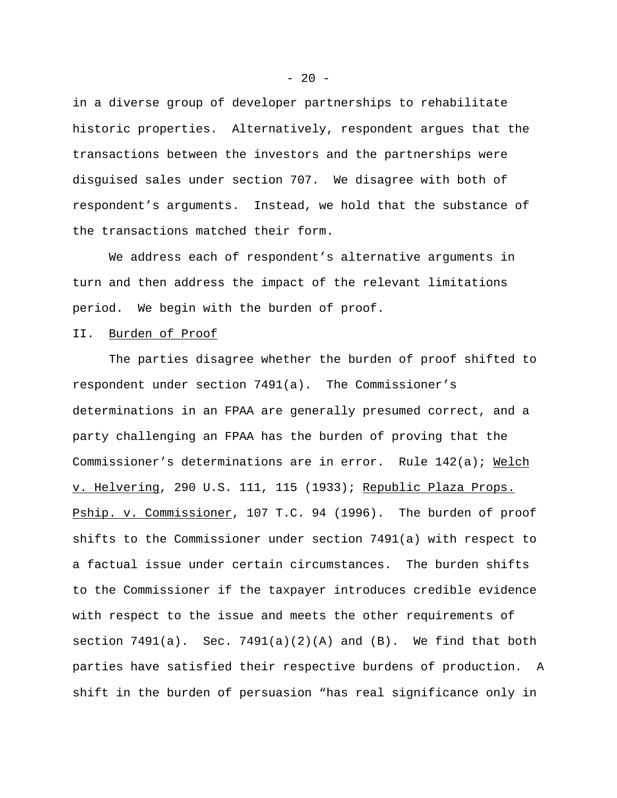in a diverse group of developer partnerships to rehabilitate historic properties. Alternatively, respondent argues that the transactions between the investors and the partnerships were disguised sales under section 707. We disagree with both of respondent's arguments. Instead, we hold that the substance of the transactions matched their form.

We address each of respondent's alternative arguments in turn and then address the impact of the relevant limitations period. We begin with the burden of proof.

### II. Burden of Proof

The parties disagree whether the burden of proof shifted to respondent under section 7491(a). The Commissioner's determinations in an FPAA are generally presumed correct, and a party challenging an FPAA has the burden of proving that the Commissioner's determinations are in error. Rule 142(a); Welch v. Helvering, 290 U.S. 111, 115 (1933); Republic Plaza Props. Pship. v. Commissioner, 107 T.C. 94 (1996). The burden of proof shifts to the Commissioner under section 7491(a) with respect to a factual issue under certain circumstances. The burden shifts to the Commissioner if the taxpayer introduces credible evidence with respect to the issue and meets the other requirements of section  $7491(a)$ . Sec.  $7491(a)(2)(A)$  and  $(B)$ . We find that both parties have satisfied their respective burdens of production. A shift in the burden of persuasion "has real significance only in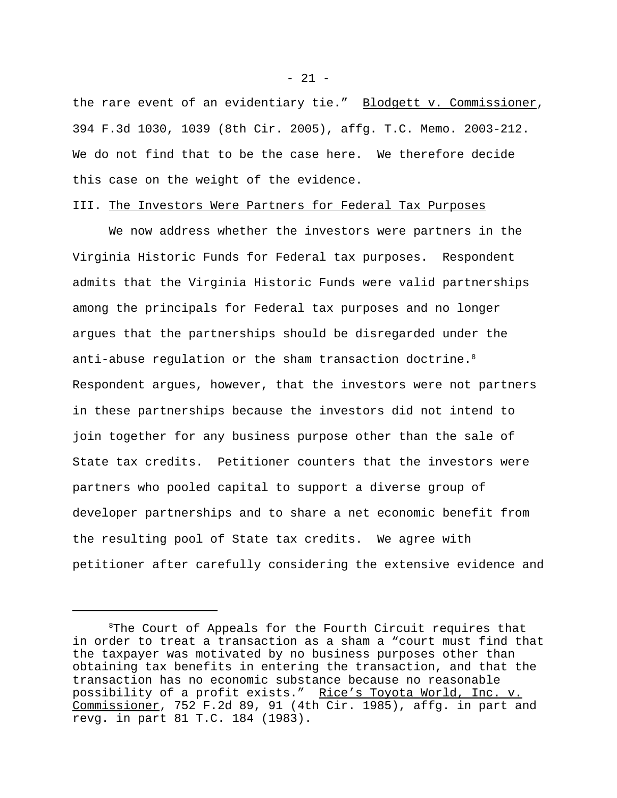the rare event of an evidentiary tie." Blodgett v. Commissioner, 394 F.3d 1030, 1039 (8th Cir. 2005), affg. T.C. Memo. 2003-212. We do not find that to be the case here. We therefore decide this case on the weight of the evidence.

#### III. The Investors Were Partners for Federal Tax Purposes

We now address whether the investors were partners in the Virginia Historic Funds for Federal tax purposes. Respondent admits that the Virginia Historic Funds were valid partnerships among the principals for Federal tax purposes and no longer argues that the partnerships should be disregarded under the anti-abuse regulation or the sham transaction doctrine.<sup>8</sup> Respondent argues, however, that the investors were not partners in these partnerships because the investors did not intend to join together for any business purpose other than the sale of State tax credits. Petitioner counters that the investors were partners who pooled capital to support a diverse group of developer partnerships and to share a net economic benefit from the resulting pool of State tax credits. We agree with petitioner after carefully considering the extensive evidence and

 $- 21 -$ 

<sup>&</sup>lt;sup>8</sup>The Court of Appeals for the Fourth Circuit requires that in order to treat a transaction as a sham a "court must find that the taxpayer was motivated by no business purposes other than obtaining tax benefits in entering the transaction, and that the transaction has no economic substance because no reasonable possibility of a profit exists." Rice's Toyota World, Inc. v. Commissioner, 752 F.2d 89, 91 (4th Cir. 1985), affg. in part and revg. in part 81 T.C. 184 (1983).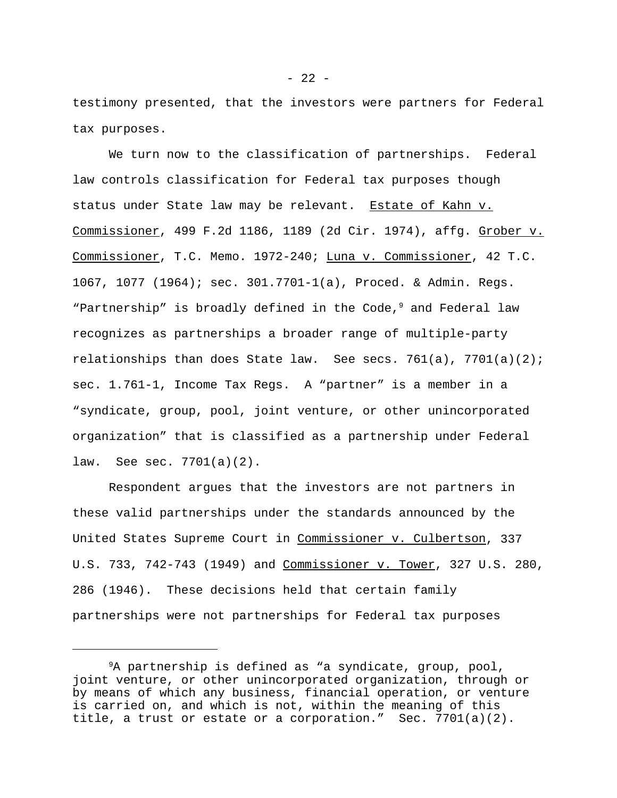testimony presented, that the investors were partners for Federal tax purposes.

We turn now to the classification of partnerships. Federal law controls classification for Federal tax purposes though status under State law may be relevant. Estate of Kahn v. Commissioner, 499 F.2d 1186, 1189 (2d Cir. 1974), affg. Grober v. Commissioner, T.C. Memo. 1972-240; Luna v. Commissioner, 42 T.C. 1067, 1077 (1964); sec. 301.7701-1(a), Proced. & Admin. Regs. "Partnership" is broadly defined in the Code, $9$  and Federal law recognizes as partnerships a broader range of multiple-party relationships than does State law. See secs. 761(a), 7701(a)(2); sec. 1.761-1, Income Tax Regs. A "partner" is a member in a "syndicate, group, pool, joint venture, or other unincorporated organization" that is classified as a partnership under Federal law. See sec. 7701(a)(2).

Respondent argues that the investors are not partners in these valid partnerships under the standards announced by the United States Supreme Court in Commissioner v. Culbertson, 337 U.S. 733, 742-743 (1949) and Commissioner v. Tower, 327 U.S. 280, 286 (1946). These decisions held that certain family partnerships were not partnerships for Federal tax purposes

<sup>&</sup>lt;sup>9</sup>A partnership is defined as "a syndicate, group, pool, joint venture, or other unincorporated organization, through or by means of which any business, financial operation, or venture is carried on, and which is not, within the meaning of this title, a trust or estate or a corporation." Sec. 7701(a)(2).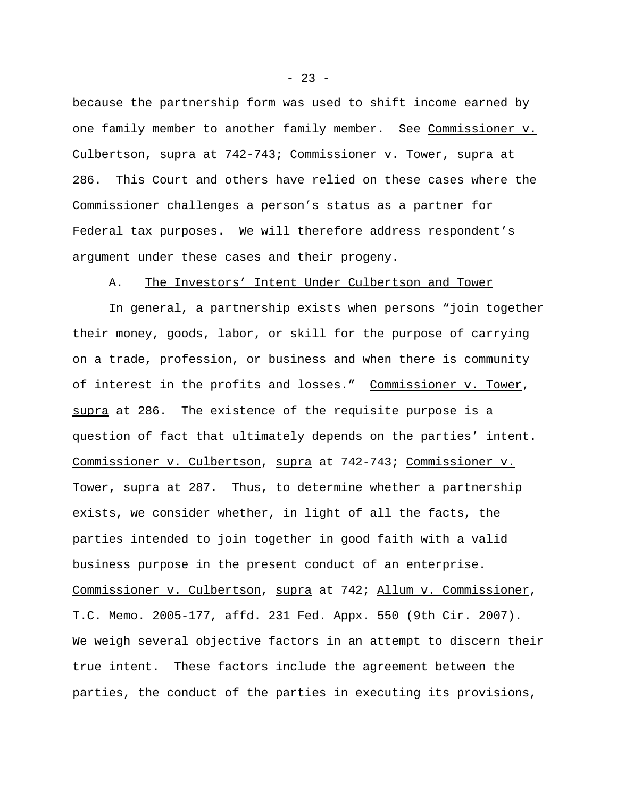because the partnership form was used to shift income earned by one family member to another family member. See Commissioner v. Culbertson, supra at 742-743; Commissioner v. Tower, supra at 286. This Court and others have relied on these cases where the Commissioner challenges a person's status as a partner for Federal tax purposes. We will therefore address respondent's argument under these cases and their progeny.

### A. The Investors' Intent Under Culbertson and Tower

In general, a partnership exists when persons "join together their money, goods, labor, or skill for the purpose of carrying on a trade, profession, or business and when there is community of interest in the profits and losses." Commissioner v. Tower, supra at 286. The existence of the requisite purpose is a question of fact that ultimately depends on the parties' intent. Commissioner v. Culbertson, supra at 742-743; Commissioner v. Tower, supra at 287. Thus, to determine whether a partnership exists, we consider whether, in light of all the facts, the parties intended to join together in good faith with a valid business purpose in the present conduct of an enterprise. Commissioner v. Culbertson, supra at 742; Allum v. Commissioner, T.C. Memo. 2005-177, affd. 231 Fed. Appx. 550 (9th Cir. 2007). We weigh several objective factors in an attempt to discern their true intent. These factors include the agreement between the parties, the conduct of the parties in executing its provisions,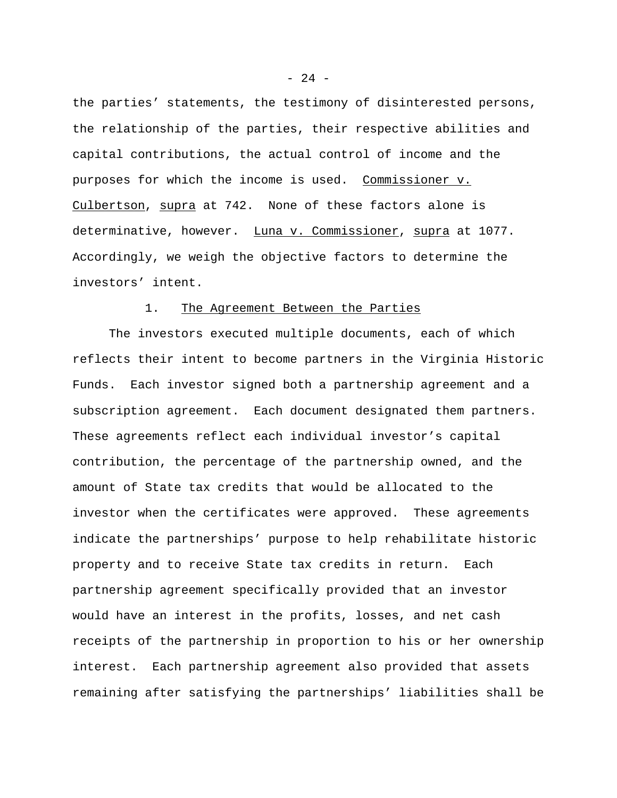the parties' statements, the testimony of disinterested persons, the relationship of the parties, their respective abilities and capital contributions, the actual control of income and the purposes for which the income is used. Commissioner v. Culbertson, supra at 742. None of these factors alone is determinative, however. Luna v. Commissioner, supra at 1077. Accordingly, we weigh the objective factors to determine the investors' intent.

### 1. The Agreement Between the Parties

The investors executed multiple documents, each of which reflects their intent to become partners in the Virginia Historic Funds. Each investor signed both a partnership agreement and a subscription agreement. Each document designated them partners. These agreements reflect each individual investor's capital contribution, the percentage of the partnership owned, and the amount of State tax credits that would be allocated to the investor when the certificates were approved. These agreements indicate the partnerships' purpose to help rehabilitate historic property and to receive State tax credits in return. Each partnership agreement specifically provided that an investor would have an interest in the profits, losses, and net cash receipts of the partnership in proportion to his or her ownership interest. Each partnership agreement also provided that assets remaining after satisfying the partnerships' liabilities shall be

- 24 -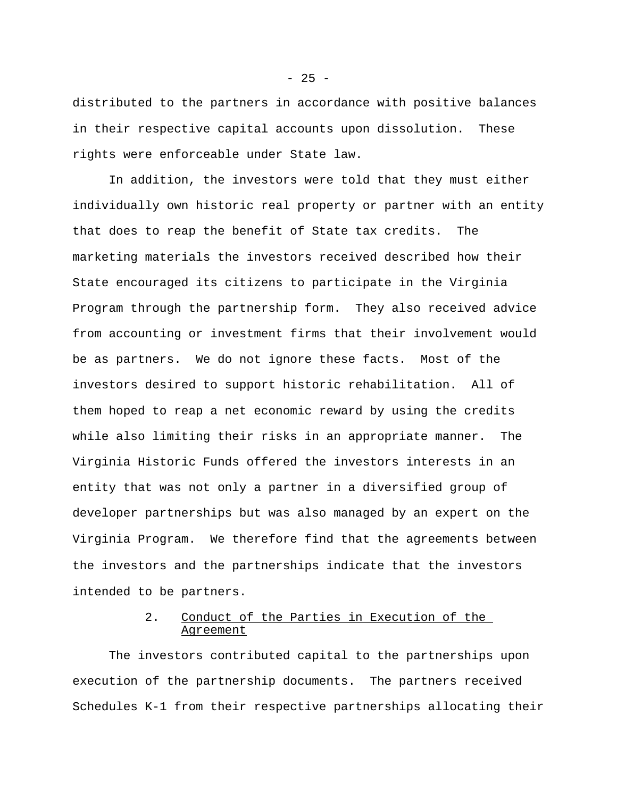distributed to the partners in accordance with positive balances in their respective capital accounts upon dissolution. These rights were enforceable under State law.

In addition, the investors were told that they must either individually own historic real property or partner with an entity that does to reap the benefit of State tax credits. The marketing materials the investors received described how their State encouraged its citizens to participate in the Virginia Program through the partnership form. They also received advice from accounting or investment firms that their involvement would be as partners. We do not ignore these facts. Most of the investors desired to support historic rehabilitation. All of them hoped to reap a net economic reward by using the credits while also limiting their risks in an appropriate manner. The Virginia Historic Funds offered the investors interests in an entity that was not only a partner in a diversified group of developer partnerships but was also managed by an expert on the Virginia Program. We therefore find that the agreements between the investors and the partnerships indicate that the investors intended to be partners.

# 2. Conduct of the Parties in Execution of the Agreement

The investors contributed capital to the partnerships upon execution of the partnership documents. The partners received Schedules K-1 from their respective partnerships allocating their

 $- 25 -$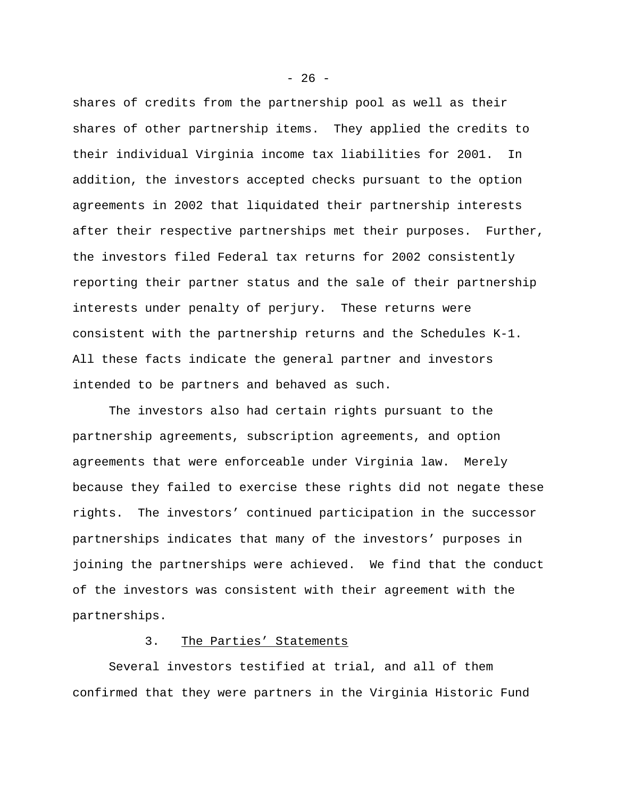shares of credits from the partnership pool as well as their shares of other partnership items. They applied the credits to their individual Virginia income tax liabilities for 2001. In addition, the investors accepted checks pursuant to the option agreements in 2002 that liquidated their partnership interests after their respective partnerships met their purposes. Further, the investors filed Federal tax returns for 2002 consistently reporting their partner status and the sale of their partnership interests under penalty of perjury. These returns were consistent with the partnership returns and the Schedules K-1. All these facts indicate the general partner and investors intended to be partners and behaved as such.

The investors also had certain rights pursuant to the partnership agreements, subscription agreements, and option agreements that were enforceable under Virginia law. Merely because they failed to exercise these rights did not negate these rights. The investors' continued participation in the successor partnerships indicates that many of the investors' purposes in joining the partnerships were achieved. We find that the conduct of the investors was consistent with their agreement with the partnerships.

### 3. The Parties' Statements

Several investors testified at trial, and all of them confirmed that they were partners in the Virginia Historic Fund

 $- 26 -$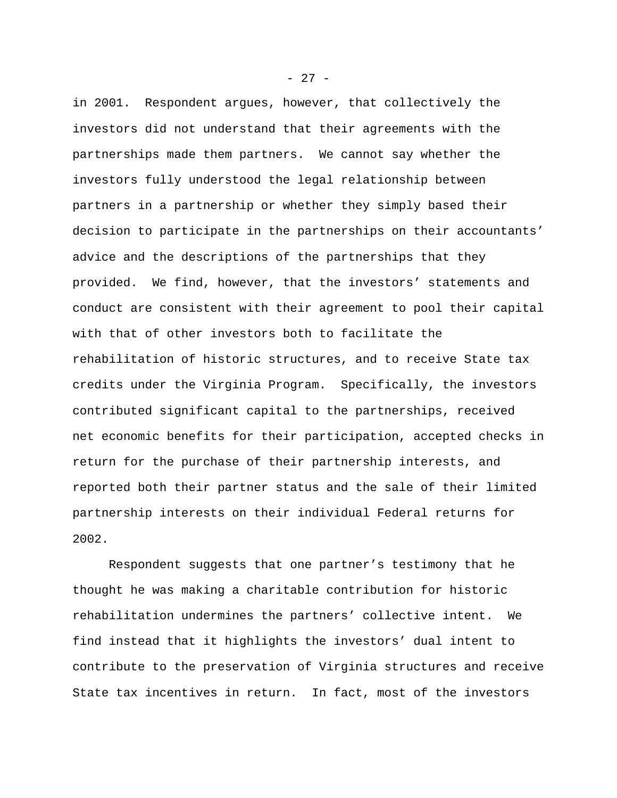in 2001. Respondent argues, however, that collectively the investors did not understand that their agreements with the partnerships made them partners. We cannot say whether the investors fully understood the legal relationship between partners in a partnership or whether they simply based their decision to participate in the partnerships on their accountants' advice and the descriptions of the partnerships that they provided. We find, however, that the investors' statements and conduct are consistent with their agreement to pool their capital with that of other investors both to facilitate the rehabilitation of historic structures, and to receive State tax credits under the Virginia Program. Specifically, the investors contributed significant capital to the partnerships, received net economic benefits for their participation, accepted checks in return for the purchase of their partnership interests, and reported both their partner status and the sale of their limited partnership interests on their individual Federal returns for 2002.

Respondent suggests that one partner's testimony that he thought he was making a charitable contribution for historic rehabilitation undermines the partners' collective intent. We find instead that it highlights the investors' dual intent to contribute to the preservation of Virginia structures and receive State tax incentives in return. In fact, most of the investors

- 27 -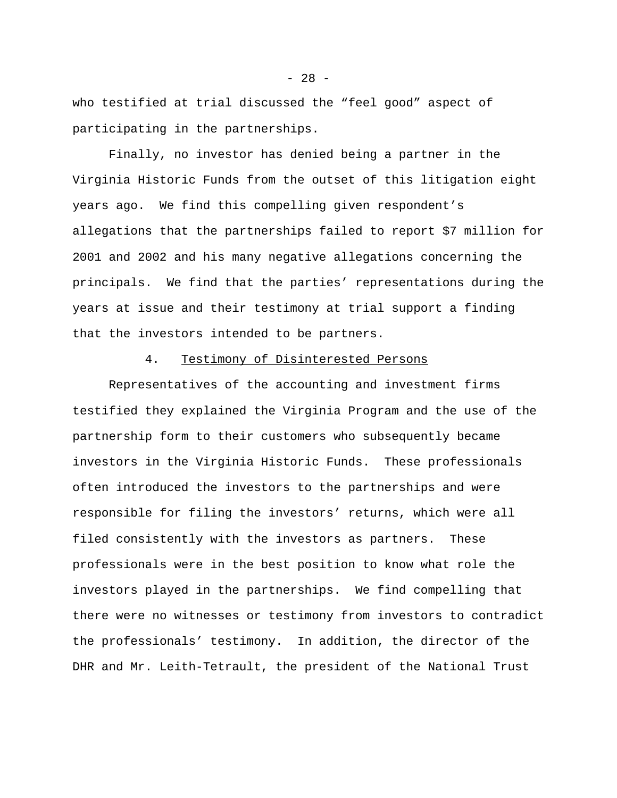who testified at trial discussed the "feel good" aspect of participating in the partnerships.

Finally, no investor has denied being a partner in the Virginia Historic Funds from the outset of this litigation eight years ago. We find this compelling given respondent's allegations that the partnerships failed to report \$7 million for 2001 and 2002 and his many negative allegations concerning the principals. We find that the parties' representations during the years at issue and their testimony at trial support a finding that the investors intended to be partners.

# 4. Testimony of Disinterested Persons

Representatives of the accounting and investment firms testified they explained the Virginia Program and the use of the partnership form to their customers who subsequently became investors in the Virginia Historic Funds. These professionals often introduced the investors to the partnerships and were responsible for filing the investors' returns, which were all filed consistently with the investors as partners. These professionals were in the best position to know what role the investors played in the partnerships. We find compelling that there were no witnesses or testimony from investors to contradict the professionals' testimony. In addition, the director of the DHR and Mr. Leith-Tetrault, the president of the National Trust

- 28 -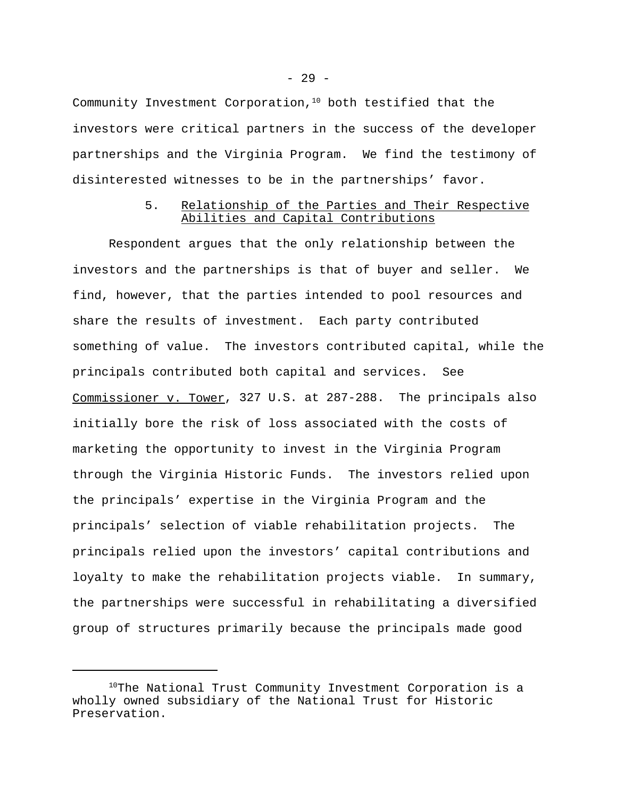Community Investment Corporation, $10$  both testified that the investors were critical partners in the success of the developer partnerships and the Virginia Program. We find the testimony of disinterested witnesses to be in the partnerships' favor.

# 5. Relationship of the Parties and Their Respective Abilities and Capital Contributions

Respondent argues that the only relationship between the investors and the partnerships is that of buyer and seller. We find, however, that the parties intended to pool resources and share the results of investment. Each party contributed something of value. The investors contributed capital, while the principals contributed both capital and services. See Commissioner v. Tower, 327 U.S. at 287-288. The principals also initially bore the risk of loss associated with the costs of marketing the opportunity to invest in the Virginia Program through the Virginia Historic Funds. The investors relied upon the principals' expertise in the Virginia Program and the principals' selection of viable rehabilitation projects. The principals relied upon the investors' capital contributions and loyalty to make the rehabilitation projects viable. In summary, the partnerships were successful in rehabilitating a diversified group of structures primarily because the principals made good

<sup>&</sup>lt;sup>10</sup>The National Trust Community Investment Corporation is a wholly owned subsidiary of the National Trust for Historic Preservation.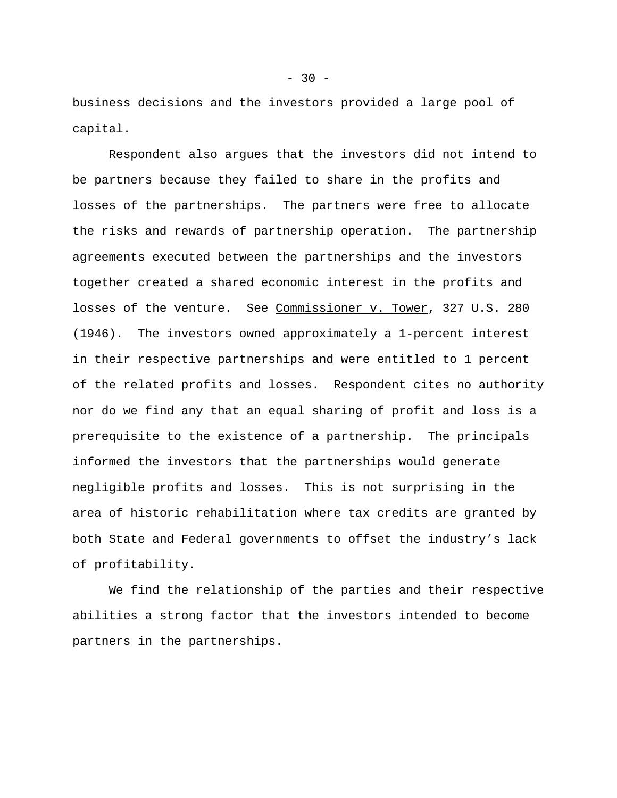business decisions and the investors provided a large pool of capital.

Respondent also argues that the investors did not intend to be partners because they failed to share in the profits and losses of the partnerships. The partners were free to allocate the risks and rewards of partnership operation. The partnership agreements executed between the partnerships and the investors together created a shared economic interest in the profits and losses of the venture. See Commissioner v. Tower, 327 U.S. 280 (1946). The investors owned approximately a 1-percent interest in their respective partnerships and were entitled to 1 percent of the related profits and losses. Respondent cites no authority nor do we find any that an equal sharing of profit and loss is a prerequisite to the existence of a partnership. The principals informed the investors that the partnerships would generate negligible profits and losses. This is not surprising in the area of historic rehabilitation where tax credits are granted by both State and Federal governments to offset the industry's lack of profitability.

We find the relationship of the parties and their respective abilities a strong factor that the investors intended to become partners in the partnerships.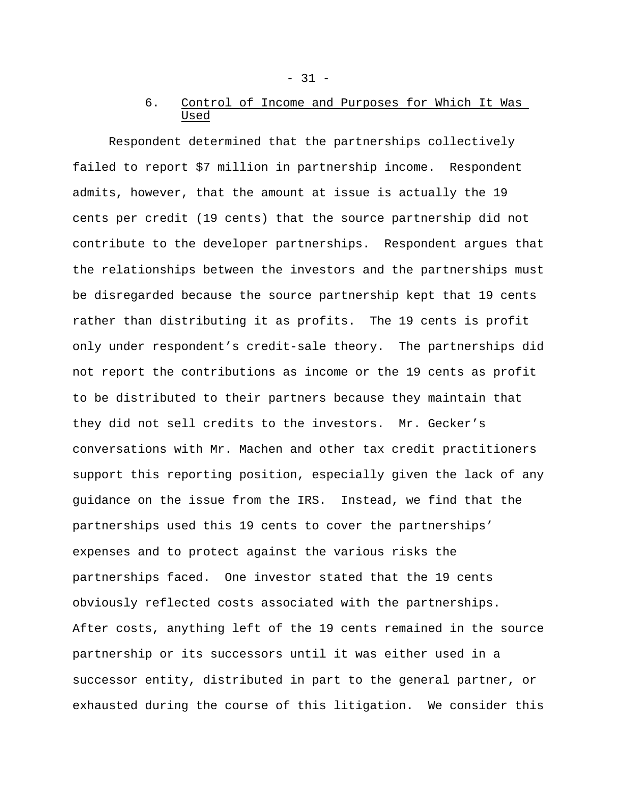# 6. Control of Income and Purposes for Which It Was Used

Respondent determined that the partnerships collectively failed to report \$7 million in partnership income. Respondent admits, however, that the amount at issue is actually the 19 cents per credit (19 cents) that the source partnership did not contribute to the developer partnerships. Respondent argues that the relationships between the investors and the partnerships must be disregarded because the source partnership kept that 19 cents rather than distributing it as profits. The 19 cents is profit only under respondent's credit-sale theory. The partnerships did not report the contributions as income or the 19 cents as profit to be distributed to their partners because they maintain that they did not sell credits to the investors. Mr. Gecker's conversations with Mr. Machen and other tax credit practitioners support this reporting position, especially given the lack of any guidance on the issue from the IRS. Instead, we find that the partnerships used this 19 cents to cover the partnerships' expenses and to protect against the various risks the partnerships faced. One investor stated that the 19 cents obviously reflected costs associated with the partnerships. After costs, anything left of the 19 cents remained in the source partnership or its successors until it was either used in a successor entity, distributed in part to the general partner, or exhausted during the course of this litigation. We consider this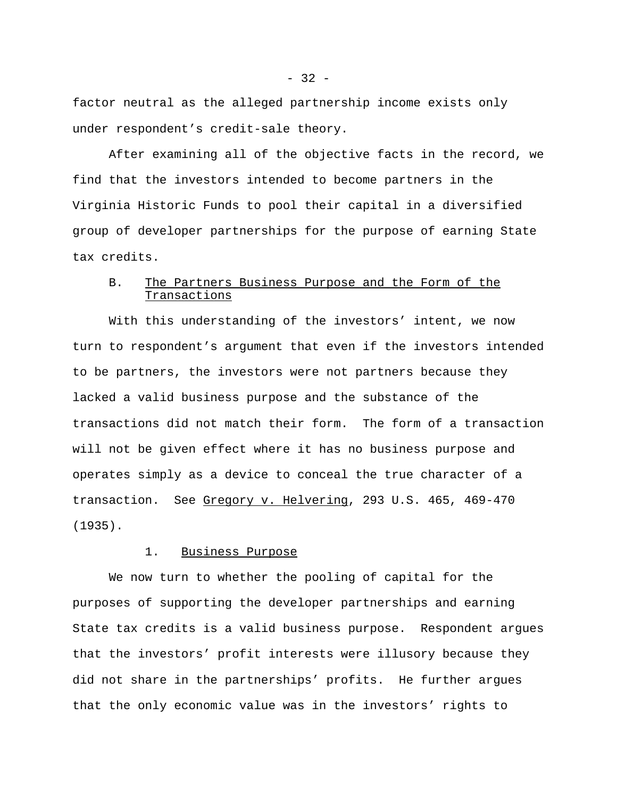factor neutral as the alleged partnership income exists only under respondent's credit-sale theory.

After examining all of the objective facts in the record, we find that the investors intended to become partners in the Virginia Historic Funds to pool their capital in a diversified group of developer partnerships for the purpose of earning State tax credits.

# B. The Partners Business Purpose and the Form of the Transactions

With this understanding of the investors' intent, we now turn to respondent's argument that even if the investors intended to be partners, the investors were not partners because they lacked a valid business purpose and the substance of the transactions did not match their form. The form of a transaction will not be given effect where it has no business purpose and operates simply as a device to conceal the true character of a transaction. See Gregory v. Helvering, 293 U.S. 465, 469-470 (1935).

### 1. Business Purpose

We now turn to whether the pooling of capital for the purposes of supporting the developer partnerships and earning State tax credits is a valid business purpose. Respondent argues that the investors' profit interests were illusory because they did not share in the partnerships' profits. He further argues that the only economic value was in the investors' rights to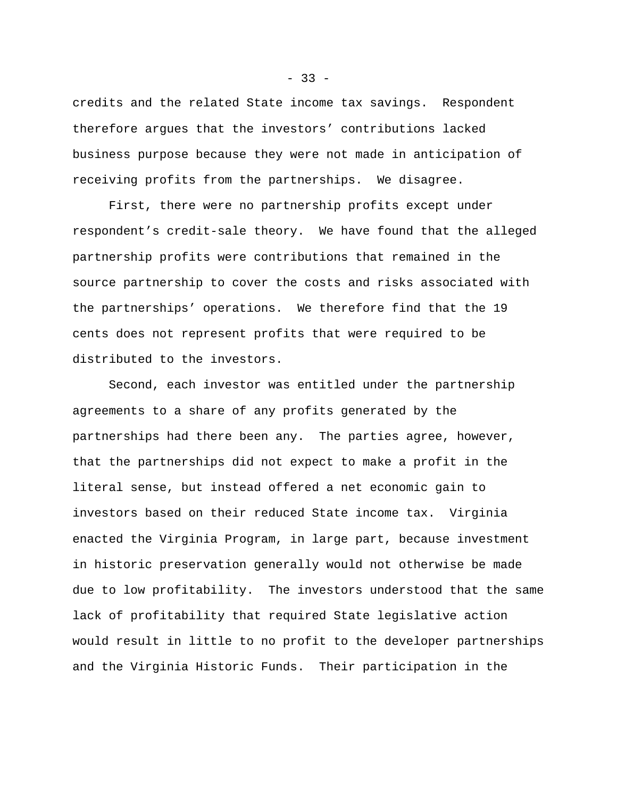credits and the related State income tax savings. Respondent therefore argues that the investors' contributions lacked business purpose because they were not made in anticipation of receiving profits from the partnerships. We disagree.

First, there were no partnership profits except under respondent's credit-sale theory. We have found that the alleged partnership profits were contributions that remained in the source partnership to cover the costs and risks associated with the partnerships' operations. We therefore find that the 19 cents does not represent profits that were required to be distributed to the investors.

Second, each investor was entitled under the partnership agreements to a share of any profits generated by the partnerships had there been any. The parties agree, however, that the partnerships did not expect to make a profit in the literal sense, but instead offered a net economic gain to investors based on their reduced State income tax. Virginia enacted the Virginia Program, in large part, because investment in historic preservation generally would not otherwise be made due to low profitability. The investors understood that the same lack of profitability that required State legislative action would result in little to no profit to the developer partnerships and the Virginia Historic Funds. Their participation in the

 $-33 -$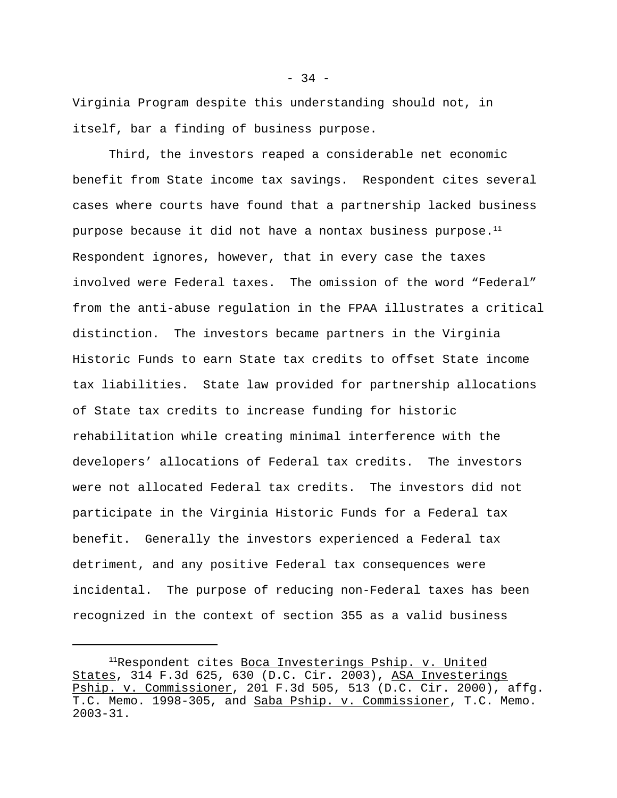Virginia Program despite this understanding should not, in itself, bar a finding of business purpose.

Third, the investors reaped a considerable net economic benefit from State income tax savings. Respondent cites several cases where courts have found that a partnership lacked business purpose because it did not have a nontax business purpose. $<sup>11</sup>$ </sup> Respondent ignores, however, that in every case the taxes involved were Federal taxes. The omission of the word "Federal" from the anti-abuse regulation in the FPAA illustrates a critical distinction. The investors became partners in the Virginia Historic Funds to earn State tax credits to offset State income tax liabilities. State law provided for partnership allocations of State tax credits to increase funding for historic rehabilitation while creating minimal interference with the developers' allocations of Federal tax credits. The investors were not allocated Federal tax credits. The investors did not participate in the Virginia Historic Funds for a Federal tax benefit. Generally the investors experienced a Federal tax detriment, and any positive Federal tax consequences were incidental. The purpose of reducing non-Federal taxes has been recognized in the context of section 355 as a valid business

 $-34 -$ 

<sup>&</sup>lt;sup>11</sup>Respondent cites <u>Boca Investerings Pship. v. United</u> States, 314 F.3d 625, 630 (D.C. Cir. 2003), ASA Investerings Pship. v. Commissioner, 201 F.3d 505, 513 (D.C. Cir. 2000), affg. T.C. Memo. 1998-305, and Saba Pship. v. Commissioner, T.C. Memo. 2003-31.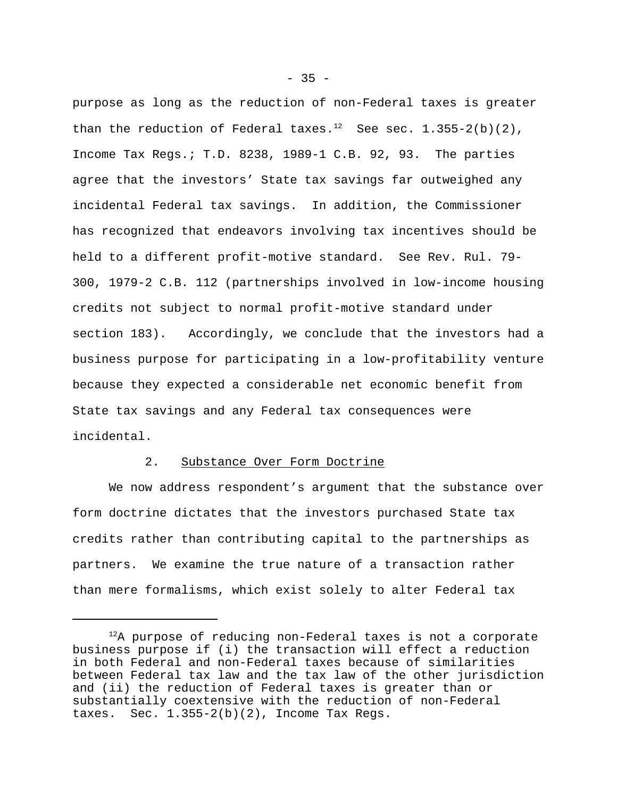purpose as long as the reduction of non-Federal taxes is greater than the reduction of Federal taxes.<sup>12</sup> See sec.  $1.355-2(b)(2)$ , Income Tax Regs.; T.D. 8238, 1989-1 C.B. 92, 93. The parties agree that the investors' State tax savings far outweighed any incidental Federal tax savings. In addition, the Commissioner has recognized that endeavors involving tax incentives should be held to a different profit-motive standard. See Rev. Rul. 79- 300, 1979-2 C.B. 112 (partnerships involved in low-income housing credits not subject to normal profit-motive standard under section 183). Accordingly, we conclude that the investors had a business purpose for participating in a low-profitability venture because they expected a considerable net economic benefit from State tax savings and any Federal tax consequences were incidental.

### 2. Substance Over Form Doctrine

We now address respondent's argument that the substance over form doctrine dictates that the investors purchased State tax credits rather than contributing capital to the partnerships as partners. We examine the true nature of a transaction rather than mere formalisms, which exist solely to alter Federal tax

 $12A$  purpose of reducing non-Federal taxes is not a corporate business purpose if (i) the transaction will effect a reduction in both Federal and non-Federal taxes because of similarities between Federal tax law and the tax law of the other jurisdiction and (ii) the reduction of Federal taxes is greater than or substantially coextensive with the reduction of non-Federal taxes. Sec.  $1.355-2(b)(2)$ , Income Tax Regs.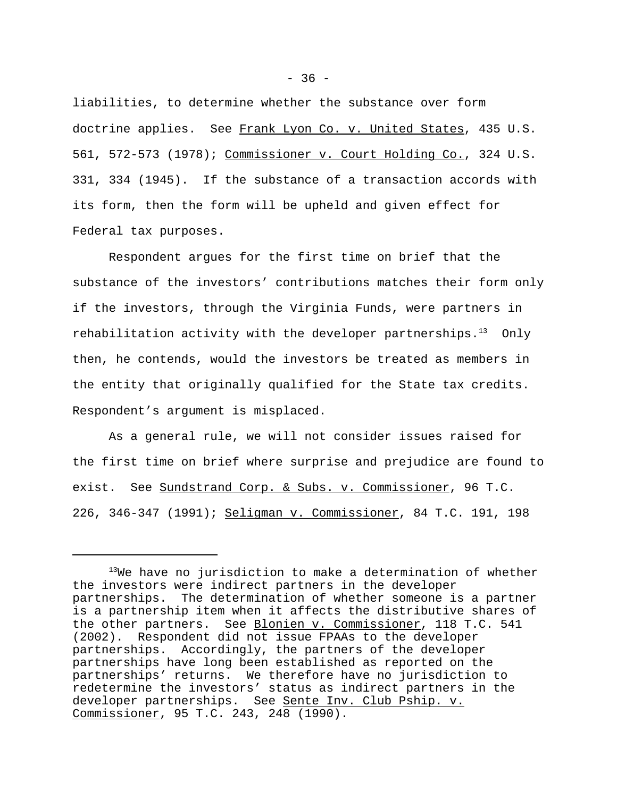liabilities, to determine whether the substance over form doctrine applies. See Frank Lyon Co. v. United States, 435 U.S. 561, 572-573 (1978); Commissioner v. Court Holding Co., 324 U.S. 331, 334 (1945). If the substance of a transaction accords with its form, then the form will be upheld and given effect for Federal tax purposes.

Respondent argues for the first time on brief that the substance of the investors' contributions matches their form only if the investors, through the Virginia Funds, were partners in rehabilitation activity with the developer partnerships.<sup>13</sup> Only then, he contends, would the investors be treated as members in the entity that originally qualified for the State tax credits. Respondent's argument is misplaced.

As a general rule, we will not consider issues raised for the first time on brief where surprise and prejudice are found to exist. See Sundstrand Corp. & Subs. v. Commissioner, 96 T.C. 226, 346-347 (1991); Seligman v. Commissioner, 84 T.C. 191, 198

 $13$ We have no jurisdiction to make a determination of whether the investors were indirect partners in the developer partnerships. The determination of whether someone is a partner is a partnership item when it affects the distributive shares of the other partners. See Blonien v. Commissioner, 118 T.C. 541 (2002). Respondent did not issue FPAAs to the developer partnerships. Accordingly, the partners of the developer partnerships have long been established as reported on the partnerships' returns. We therefore have no jurisdiction to redetermine the investors' status as indirect partners in the developer partnerships. See Sente Inv. Club Pship. v. Commissioner, 95 T.C. 243, 248 (1990).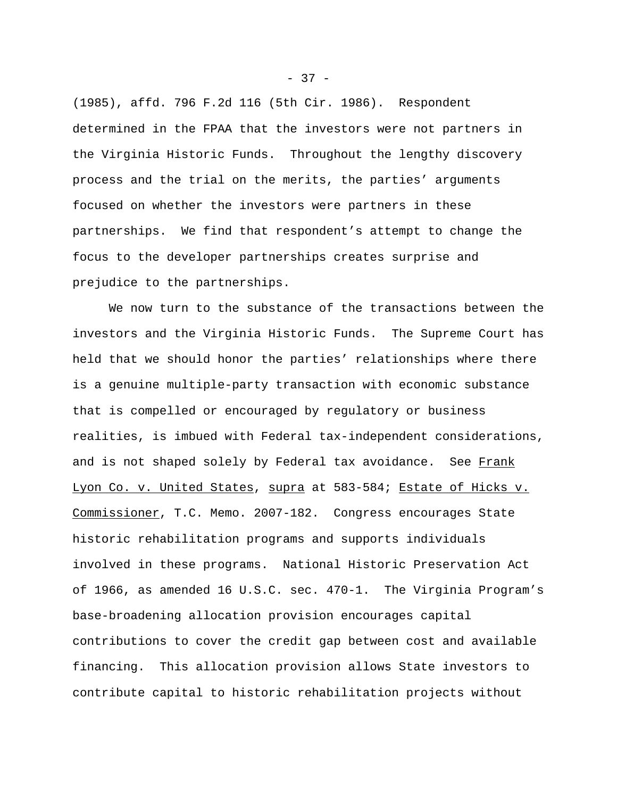(1985), affd. 796 F.2d 116 (5th Cir. 1986). Respondent determined in the FPAA that the investors were not partners in the Virginia Historic Funds. Throughout the lengthy discovery process and the trial on the merits, the parties' arguments focused on whether the investors were partners in these partnerships. We find that respondent's attempt to change the focus to the developer partnerships creates surprise and prejudice to the partnerships.

We now turn to the substance of the transactions between the investors and the Virginia Historic Funds. The Supreme Court has held that we should honor the parties' relationships where there is a genuine multiple-party transaction with economic substance that is compelled or encouraged by regulatory or business realities, is imbued with Federal tax-independent considerations, and is not shaped solely by Federal tax avoidance. See Frank Lyon Co. v. United States, supra at 583-584; Estate of Hicks v. Commissioner, T.C. Memo. 2007-182. Congress encourages State historic rehabilitation programs and supports individuals involved in these programs. National Historic Preservation Act of 1966, as amended 16 U.S.C. sec. 470-1. The Virginia Program's base-broadening allocation provision encourages capital contributions to cover the credit gap between cost and available financing. This allocation provision allows State investors to contribute capital to historic rehabilitation projects without

 $-37 -$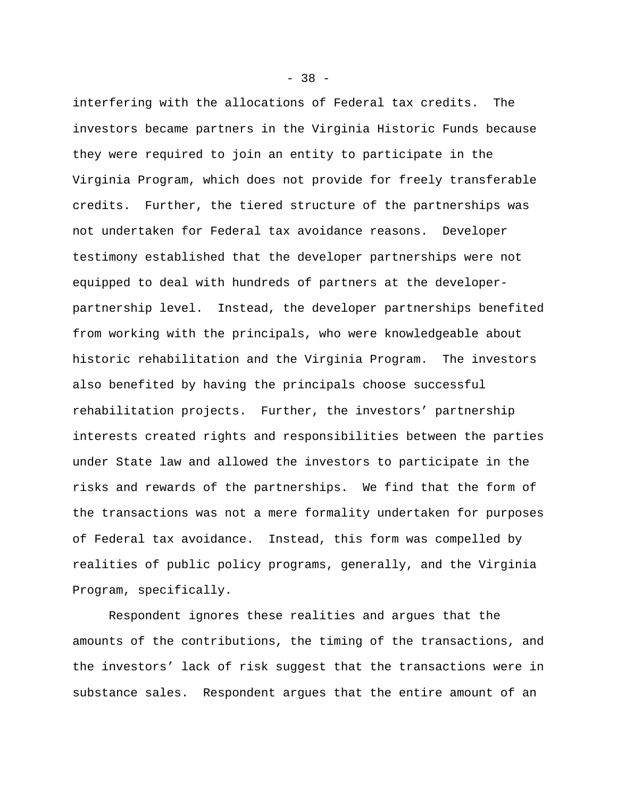interfering with the allocations of Federal tax credits. The investors became partners in the Virginia Historic Funds because they were required to join an entity to participate in the Virginia Program, which does not provide for freely transferable credits. Further, the tiered structure of the partnerships was not undertaken for Federal tax avoidance reasons. Developer testimony established that the developer partnerships were not equipped to deal with hundreds of partners at the developerpartnership level. Instead, the developer partnerships benefited from working with the principals, who were knowledgeable about historic rehabilitation and the Virginia Program. The investors also benefited by having the principals choose successful rehabilitation projects. Further, the investors' partnership interests created rights and responsibilities between the parties under State law and allowed the investors to participate in the risks and rewards of the partnerships. We find that the form of the transactions was not a mere formality undertaken for purposes of Federal tax avoidance. Instead, this form was compelled by realities of public policy programs, generally, and the Virginia Program, specifically.

Respondent ignores these realities and argues that the amounts of the contributions, the timing of the transactions, and the investors' lack of risk suggest that the transactions were in substance sales. Respondent argues that the entire amount of an

- 38 -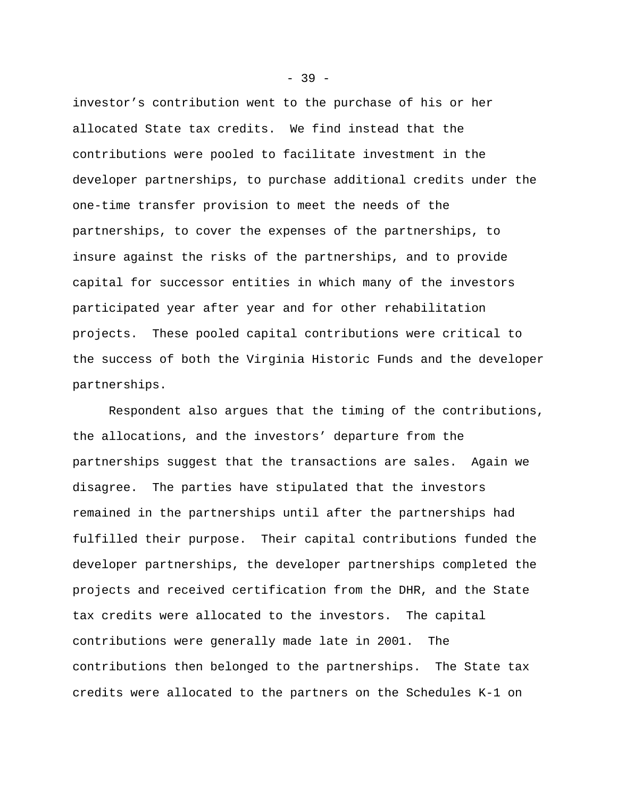investor's contribution went to the purchase of his or her allocated State tax credits. We find instead that the contributions were pooled to facilitate investment in the developer partnerships, to purchase additional credits under the one-time transfer provision to meet the needs of the partnerships, to cover the expenses of the partnerships, to insure against the risks of the partnerships, and to provide capital for successor entities in which many of the investors participated year after year and for other rehabilitation projects. These pooled capital contributions were critical to the success of both the Virginia Historic Funds and the developer partnerships.

Respondent also argues that the timing of the contributions, the allocations, and the investors' departure from the partnerships suggest that the transactions are sales. Again we disagree. The parties have stipulated that the investors remained in the partnerships until after the partnerships had fulfilled their purpose. Their capital contributions funded the developer partnerships, the developer partnerships completed the projects and received certification from the DHR, and the State tax credits were allocated to the investors. The capital contributions were generally made late in 2001. The contributions then belonged to the partnerships. The State tax credits were allocated to the partners on the Schedules K-1 on

 $-39 -$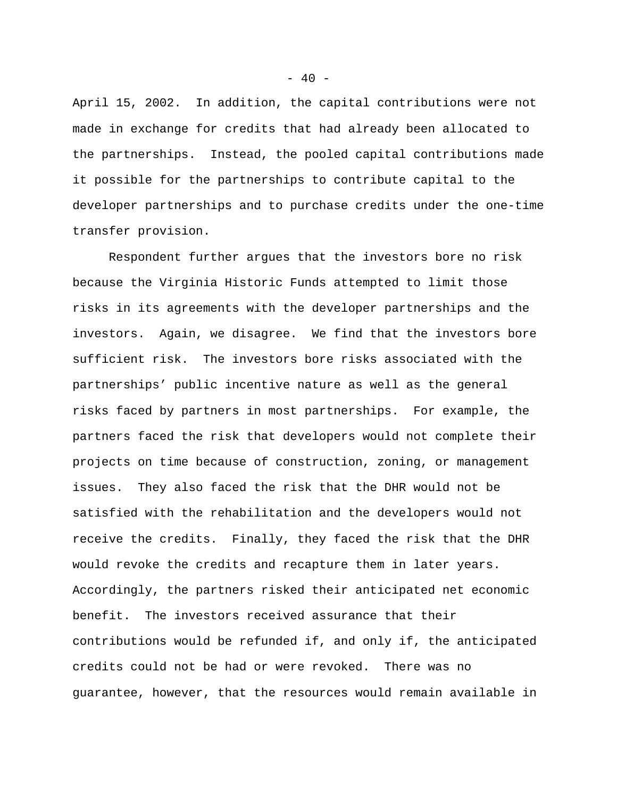April 15, 2002. In addition, the capital contributions were not made in exchange for credits that had already been allocated to the partnerships. Instead, the pooled capital contributions made it possible for the partnerships to contribute capital to the developer partnerships and to purchase credits under the one-time transfer provision.

Respondent further argues that the investors bore no risk because the Virginia Historic Funds attempted to limit those risks in its agreements with the developer partnerships and the investors. Again, we disagree. We find that the investors bore sufficient risk. The investors bore risks associated with the partnerships' public incentive nature as well as the general risks faced by partners in most partnerships. For example, the partners faced the risk that developers would not complete their projects on time because of construction, zoning, or management issues. They also faced the risk that the DHR would not be satisfied with the rehabilitation and the developers would not receive the credits. Finally, they faced the risk that the DHR would revoke the credits and recapture them in later years. Accordingly, the partners risked their anticipated net economic benefit. The investors received assurance that their contributions would be refunded if, and only if, the anticipated credits could not be had or were revoked. There was no guarantee, however, that the resources would remain available in

 $- 40 -$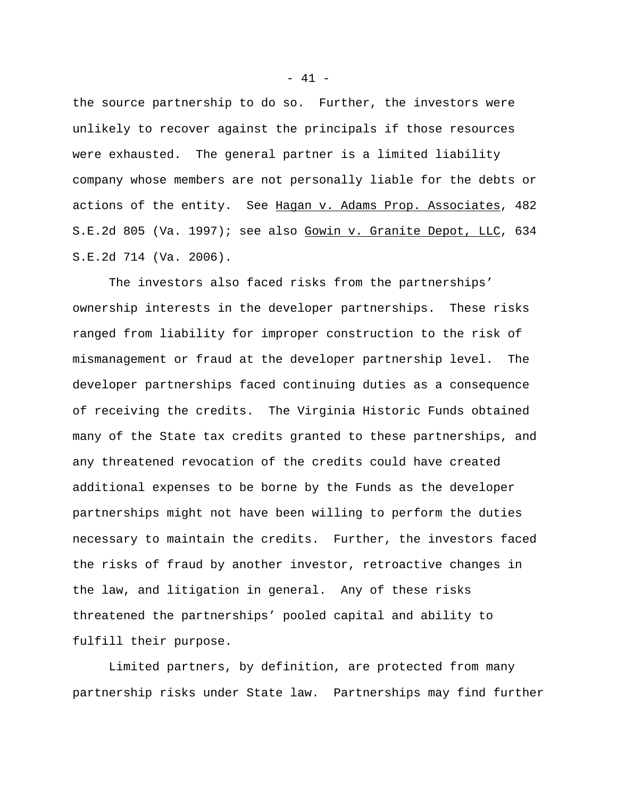the source partnership to do so. Further, the investors were unlikely to recover against the principals if those resources were exhausted. The general partner is a limited liability company whose members are not personally liable for the debts or actions of the entity. See Hagan v. Adams Prop. Associates, 482 S.E.2d 805 (Va. 1997); see also Gowin v. Granite Depot, LLC, 634 S.E.2d 714 (Va. 2006).

The investors also faced risks from the partnerships' ownership interests in the developer partnerships. These risks ranged from liability for improper construction to the risk of mismanagement or fraud at the developer partnership level. The developer partnerships faced continuing duties as a consequence of receiving the credits. The Virginia Historic Funds obtained many of the State tax credits granted to these partnerships, and any threatened revocation of the credits could have created additional expenses to be borne by the Funds as the developer partnerships might not have been willing to perform the duties necessary to maintain the credits. Further, the investors faced the risks of fraud by another investor, retroactive changes in the law, and litigation in general. Any of these risks threatened the partnerships' pooled capital and ability to fulfill their purpose.

Limited partners, by definition, are protected from many partnership risks under State law. Partnerships may find further

- 41 -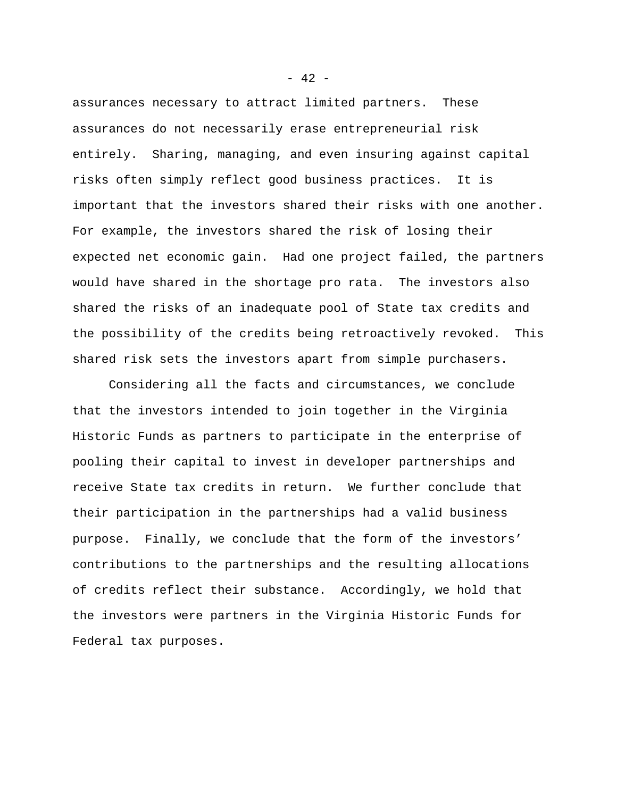assurances necessary to attract limited partners. These assurances do not necessarily erase entrepreneurial risk entirely. Sharing, managing, and even insuring against capital risks often simply reflect good business practices. It is important that the investors shared their risks with one another. For example, the investors shared the risk of losing their expected net economic gain. Had one project failed, the partners would have shared in the shortage pro rata. The investors also shared the risks of an inadequate pool of State tax credits and the possibility of the credits being retroactively revoked. This shared risk sets the investors apart from simple purchasers.

Considering all the facts and circumstances, we conclude that the investors intended to join together in the Virginia Historic Funds as partners to participate in the enterprise of pooling their capital to invest in developer partnerships and receive State tax credits in return. We further conclude that their participation in the partnerships had a valid business purpose. Finally, we conclude that the form of the investors' contributions to the partnerships and the resulting allocations of credits reflect their substance. Accordingly, we hold that the investors were partners in the Virginia Historic Funds for Federal tax purposes.

 $- 42 -$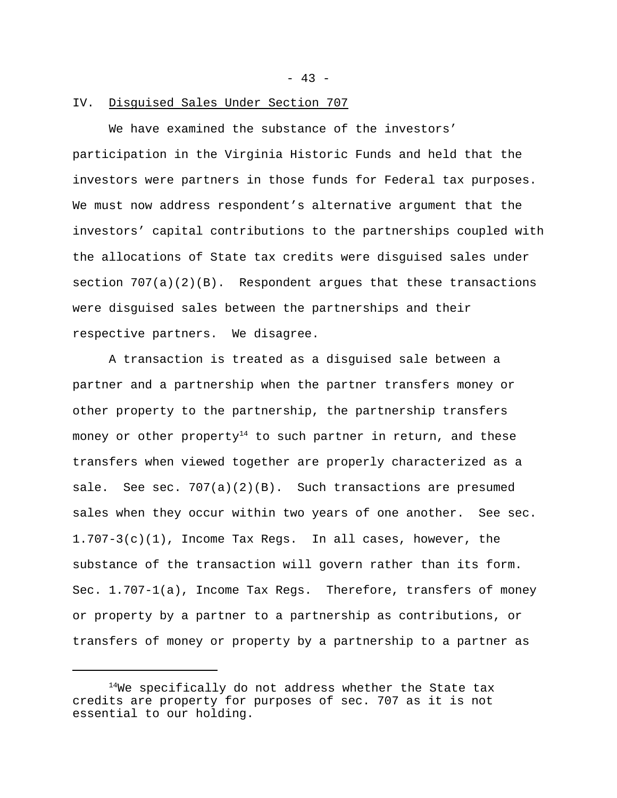$- 43 -$ 

# IV. Disguised Sales Under Section 707

We have examined the substance of the investors' participation in the Virginia Historic Funds and held that the investors were partners in those funds for Federal tax purposes. We must now address respondent's alternative argument that the investors' capital contributions to the partnerships coupled with the allocations of State tax credits were disguised sales under section 707(a)(2)(B). Respondent argues that these transactions were disguised sales between the partnerships and their respective partners. We disagree.

A transaction is treated as a disguised sale between a partner and a partnership when the partner transfers money or other property to the partnership, the partnership transfers money or other property<sup>14</sup> to such partner in return, and these transfers when viewed together are properly characterized as a sale. See sec. 707(a)(2)(B). Such transactions are presumed sales when they occur within two years of one another. See sec. 1.707-3(c)(1), Income Tax Regs. In all cases, however, the substance of the transaction will govern rather than its form. Sec. 1.707-1(a), Income Tax Regs. Therefore, transfers of money or property by a partner to a partnership as contributions, or transfers of money or property by a partnership to a partner as

 $14$ We specifically do not address whether the State tax credits are property for purposes of sec. 707 as it is not essential to our holding.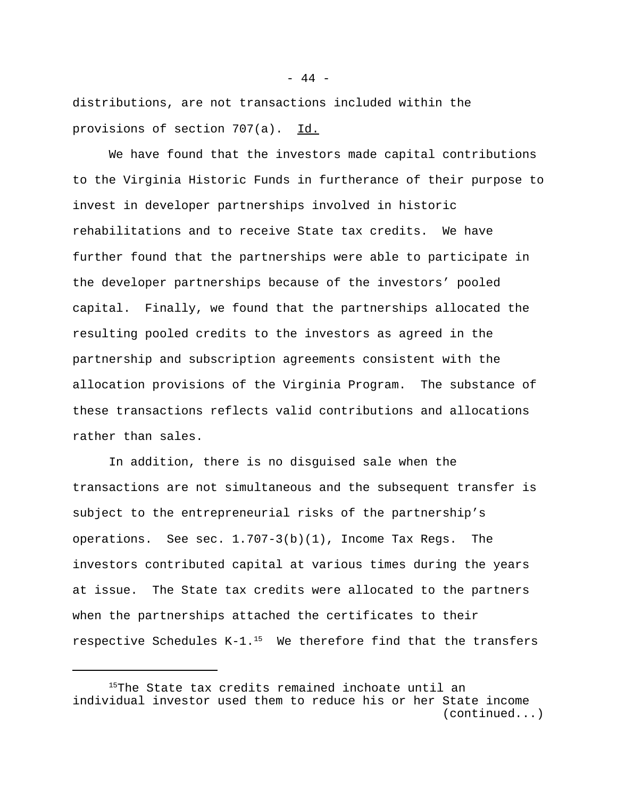distributions, are not transactions included within the provisions of section 707(a). Id.

We have found that the investors made capital contributions to the Virginia Historic Funds in furtherance of their purpose to invest in developer partnerships involved in historic rehabilitations and to receive State tax credits. We have further found that the partnerships were able to participate in the developer partnerships because of the investors' pooled capital. Finally, we found that the partnerships allocated the resulting pooled credits to the investors as agreed in the partnership and subscription agreements consistent with the allocation provisions of the Virginia Program. The substance of these transactions reflects valid contributions and allocations rather than sales.

In addition, there is no disguised sale when the transactions are not simultaneous and the subsequent transfer is subject to the entrepreneurial risks of the partnership's operations. See sec.  $1.707-3(b)(1)$ , Income Tax Regs. The investors contributed capital at various times during the years at issue. The State tax credits were allocated to the partners when the partnerships attached the certificates to their respective Schedules  $K-1$ .<sup>15</sup> We therefore find that the transfers

 $-44 -$ 

<sup>&</sup>lt;sup>15</sup>The State tax credits remained inchoate until an individual investor used them to reduce his or her State income (continued...)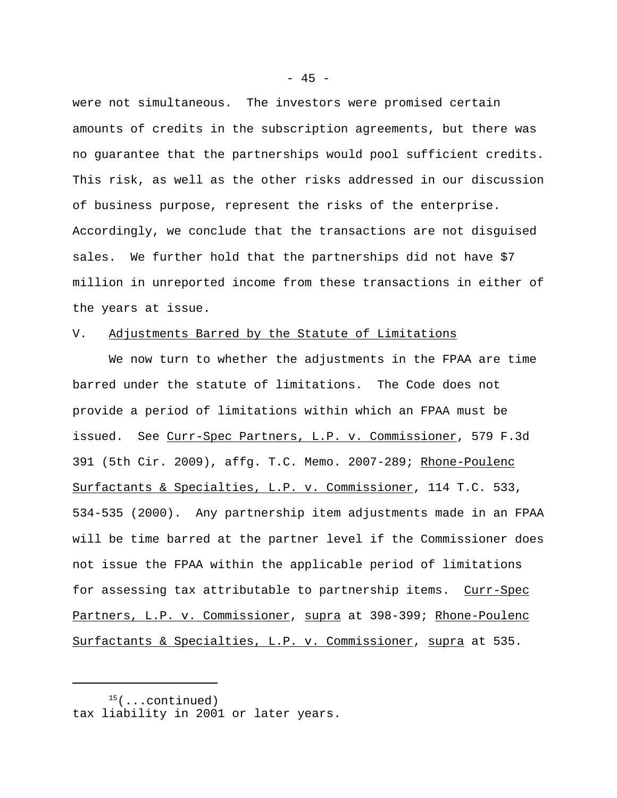were not simultaneous. The investors were promised certain amounts of credits in the subscription agreements, but there was no guarantee that the partnerships would pool sufficient credits. This risk, as well as the other risks addressed in our discussion of business purpose, represent the risks of the enterprise. Accordingly, we conclude that the transactions are not disguised sales. We further hold that the partnerships did not have \$7 million in unreported income from these transactions in either of the years at issue.

### V. Adjustments Barred by the Statute of Limitations

We now turn to whether the adjustments in the FPAA are time barred under the statute of limitations. The Code does not provide a period of limitations within which an FPAA must be issued. See Curr-Spec Partners, L.P. v. Commissioner, 579 F.3d 391 (5th Cir. 2009), affg. T.C. Memo. 2007-289; Rhone-Poulenc Surfactants & Specialties, L.P. v. Commissioner, 114 T.C. 533, 534-535 (2000). Any partnership item adjustments made in an FPAA will be time barred at the partner level if the Commissioner does not issue the FPAA within the applicable period of limitations for assessing tax attributable to partnership items. Curr-Spec Partners, L.P. v. Commissioner, supra at 398-399; Rhone-Poulenc Surfactants & Specialties, L.P. v. Commissioner, supra at 535.

 $15($ ...continued) tax liability in 2001 or later years.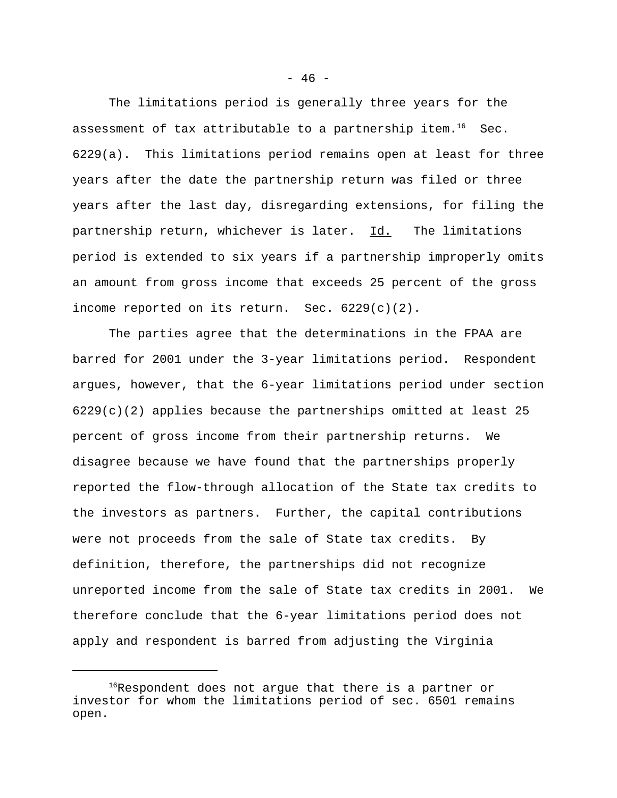The limitations period is generally three years for the assessment of tax attributable to a partnership item.<sup>16</sup> Sec. 6229(a). This limitations period remains open at least for three years after the date the partnership return was filed or three years after the last day, disregarding extensions, for filing the partnership return, whichever is later. Id. The limitations period is extended to six years if a partnership improperly omits an amount from gross income that exceeds 25 percent of the gross income reported on its return. Sec. 6229(c)(2).

The parties agree that the determinations in the FPAA are barred for 2001 under the 3-year limitations period. Respondent argues, however, that the 6-year limitations period under section  $6229(c)(2)$  applies because the partnerships omitted at least 25 percent of gross income from their partnership returns. We disagree because we have found that the partnerships properly reported the flow-through allocation of the State tax credits to the investors as partners. Further, the capital contributions were not proceeds from the sale of State tax credits. By definition, therefore, the partnerships did not recognize unreported income from the sale of State tax credits in 2001. We therefore conclude that the 6-year limitations period does not apply and respondent is barred from adjusting the Virginia

 $16R$ espondent does not argue that there is a partner or investor for whom the limitations period of sec. 6501 remains open.